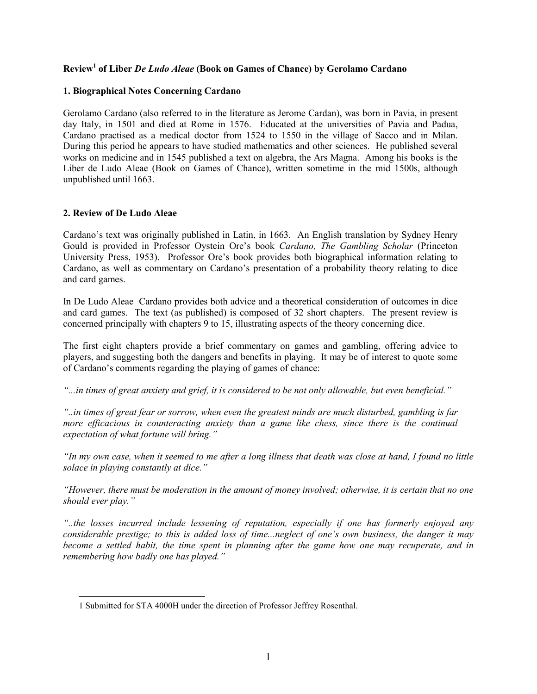# **Review1 of Liber** *De Ludo Aleae* **(Book on Games of Chance) by Gerolamo Cardano**

## **1. Biographical Notes Concerning Cardano**

Gerolamo Cardano (also referred to in the literature as Jerome Cardan), was born in Pavia, in present day Italy, in 1501 and died at Rome in 1576. Educated at the universities of Pavia and Padua, Cardano practised as a medical doctor from 1524 to 1550 in the village of Sacco and in Milan. During this period he appears to have studied mathematics and other sciences. He published several works on medicine and in 1545 published a text on algebra, the Ars Magna. Among his books is the Liber de Ludo Aleae (Book on Games of Chance), written sometime in the mid 1500s, although unpublished until 1663.

## **2. Review of De Ludo Aleae**

 $\overline{a}$ 

Cardano's text was originally published in Latin, in 1663. An English translation by Sydney Henry Gould is provided in Professor Oystein Ore's book *Cardano, The Gambling Scholar* (Princeton University Press, 1953). Professor Ore's book provides both biographical information relating to Cardano, as well as commentary on Cardano's presentation of a probability theory relating to dice and card games.

In De Ludo Aleae Cardano provides both advice and a theoretical consideration of outcomes in dice and card games. The text (as published) is composed of 32 short chapters. The present review is concerned principally with chapters 9 to 15, illustrating aspects of the theory concerning dice.

The first eight chapters provide a brief commentary on games and gambling, offering advice to players, and suggesting both the dangers and benefits in playing. It may be of interest to quote some of Cardano's comments regarding the playing of games of chance:

*"...in times of great anxiety and grief, it is considered to be not only allowable, but even beneficial."*

*"..in times of great fear or sorrow, when even the greatest minds are much disturbed, gambling is far more efficacious in counteracting anxiety than a game like chess, since there is the continual expectation of what fortune will bring."*

*"In my own case, when it seemed to me after a long illness that death was close at hand, I found no little solace in playing constantly at dice."*

*"However, there must be moderation in the amount of money involved; otherwise, it is certain that no one should ever play."*

*"..the losses incurred include lessening of reputation, especially if one has formerly enjoyed any considerable prestige; to this is added loss of time...neglect of one's own business, the danger it may become a settled habit, the time spent in planning after the game how one may recuperate, and in remembering how badly one has played."*

<sup>1</sup> Submitted for STA 4000H under the direction of Professor Jeffrey Rosenthal.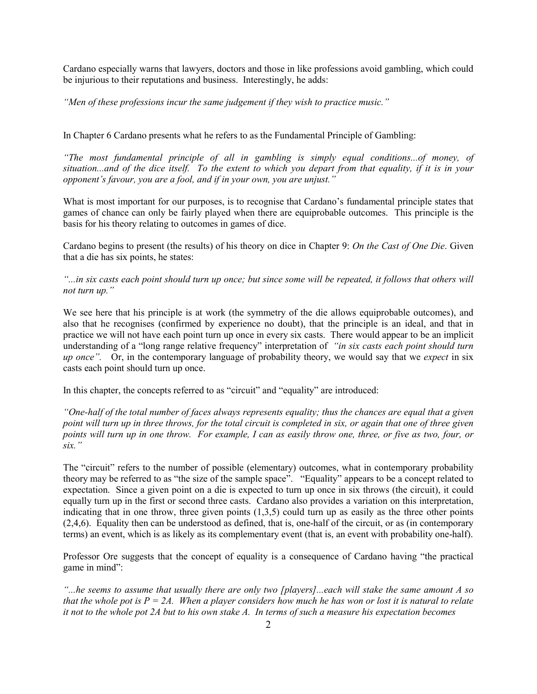Cardano especially warns that lawyers, doctors and those in like professions avoid gambling, which could be injurious to their reputations and business. Interestingly, he adds:

*"Men of these professions incur the same judgement if they wish to practice music."*

In Chapter 6 Cardano presents what he refers to as the Fundamental Principle of Gambling:

*"The most fundamental principle of all in gambling is simply equal conditions...of money, of situation...and of the dice itself. To the extent to which you depart from that equality, if it is in your opponent's favour, you are a fool, and if in your own, you are unjust."*

What is most important for our purposes, is to recognise that Cardano's fundamental principle states that games of chance can only be fairly played when there are equiprobable outcomes. This principle is the basis for his theory relating to outcomes in games of dice.

Cardano begins to present (the results) of his theory on dice in Chapter 9: *On the Cast of One Die*. Given that a die has six points, he states:

*"...in six casts each point should turn up once; but since some will be repeated, it follows that others will not turn up."*

We see here that his principle is at work (the symmetry of the die allows equiprobable outcomes), and also that he recognises (confirmed by experience no doubt), that the principle is an ideal, and that in practice we will not have each point turn up once in every six casts. There would appear to be an implicit understanding of a "long range relative frequency" interpretation of *"in six casts each point should turn up once".* Or, in the contemporary language of probability theory, we would say that we *expect* in six casts each point should turn up once.

In this chapter, the concepts referred to as "circuit" and "equality" are introduced:

*"One-half of the total number of faces always represents equality; thus the chances are equal that a given point will turn up in three throws, for the total circuit is completed in six, or again that one of three given points will turn up in one throw. For example, I can as easily throw one, three, or five as two, four, or six."*

The "circuit" refers to the number of possible (elementary) outcomes, what in contemporary probability theory may be referred to as "the size of the sample space". "Equality" appears to be a concept related to expectation. Since a given point on a die is expected to turn up once in six throws (the circuit), it could equally turn up in the first or second three casts. Cardano also provides a variation on this interpretation, indicating that in one throw, three given points  $(1,3,5)$  could turn up as easily as the three other points (2,4,6). Equality then can be understood as defined, that is, one-half of the circuit, or as (in contemporary terms) an event, which is as likely as its complementary event (that is, an event with probability one-half).

Professor Ore suggests that the concept of equality is a consequence of Cardano having "the practical game in mind":

*"...he seems to assume that usually there are only two [players]...each will stake the same amount A so that the whole pot is*  $P = 2A$ *. When a player considers how much he has won or lost it is natural to relate it not to the whole pot 2A but to his own stake A. In terms of such a measure his expectation becomes*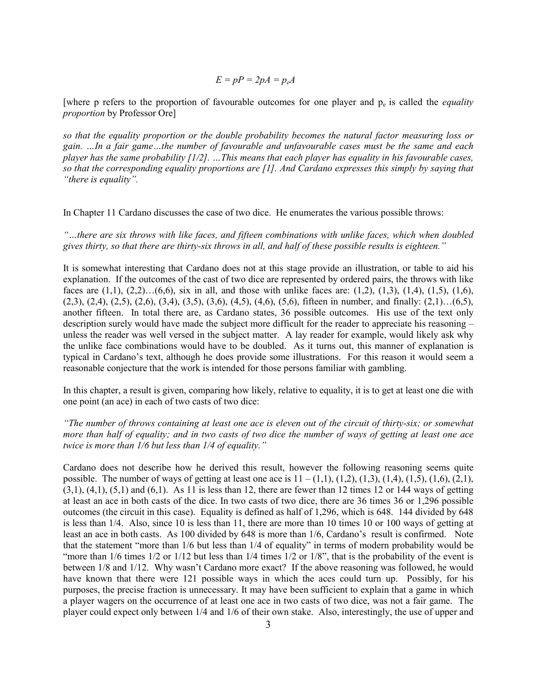$$
E = pP = 2pA = p_eA
$$

[where p refers to the proportion of favourable outcomes for one player and  $p_e$  is called the *equality proportion* by Professor Ore]

*so that the equality proportion or the double probability becomes the natural factor measuring loss or gain. …In a fair game…the number of favourable and unfavourable cases must be the same and each player has the same probability [1/2]. …This means that each player has equality in his favourable cases, so that the corresponding equality proportions are [1]. And Cardano expresses this simply by saying that "there is equality".*

In Chapter 11 Cardano discusses the case of two dice. He enumerates the various possible throws:

*"…there are six throws with like faces, and fifteen combinations with unlike faces, which when doubled gives thirty, so that there are thirty-six throws in all, and half of these possible results is eighteen."*

It is somewhat interesting that Cardano does not at this stage provide an illustration, or table to aid his explanation. If the outcomes of the cast of two dice are represented by ordered pairs, the throws with like faces are  $(1,1)$ ,  $(2,2)$ … $(6,6)$ , six in all, and those with unlike faces are:  $(1,2)$ ,  $(1,3)$ ,  $(1,4)$ ,  $(1,5)$ ,  $(1,6)$ ,  $(2,3), (2,4), (2,5), (2,6), (3,4), (3,5), (3,6), (4,5), (4,6), (5,6),$  fifteen in number, and finally:  $(2,1)...(6,5),$ another fifteen. In total there are, as Cardano states, 36 possible outcomes. His use of the text only description surely would have made the subject more difficult for the reader to appreciate his reasoning – unless the reader was well versed in the subject matter. A lay reader for example, would likely ask why the unlike face combinations would have to be doubled. As it turns out, this manner of explanation is typical in Cardano's text, although he does provide some illustrations. For this reason it would seem a reasonable conjecture that the work is intended for those persons familiar with gambling.

In this chapter, a result is given, comparing how likely, relative to equality, it is to get at least one die with one point (an ace) in each of two casts of two dice:

*"The number of throws containing at least one ace is eleven out of the circuit of thirty-six; or somewhat more than half of equality; and in two casts of two dice the number of ways of getting at least one ace twice is more than 1/6 but less than 1/4 of equality."*

Cardano does not describe how he derived this result, however the following reasoning seems quite possible. The number of ways of getting at least one ace is  $11 - (1,1)$ ,  $(1,2)$ ,  $(1,3)$ ,  $(1,4)$ ,  $(1,5)$ ,  $(1,6)$ ,  $(2,1)$ ,  $(3,1)$ ,  $(4,1)$ ,  $(5,1)$  and  $(6,1)$ . As 11 is less than 12, there are fewer than 12 times 12 or 144 ways of getting at least an ace in both casts of the dice. In two casts of two dice, there are 36 times 36 or 1,296 possible outcomes (the circuit in this case). Equality is defined as half of 1,296, which is 648. 144 divided by 648 is less than 1/4. Also, since 10 is less than 11, there are more than 10 times 10 or 100 ways of getting at least an ace in both casts. As 100 divided by 648 is more than 1/6, Cardano's result is confirmed. Note that the statement "more than 1/6 but less than 1/4 of equality" in terms of modern probability would be "more than  $1/6$  times  $1/2$  or  $1/12$  but less than  $1/4$  times  $1/2$  or  $1/8$ ", that is the probability of the event is between 1/8 and 1/12. Why wasn't Cardano more exact? If the above reasoning was followed, he would have known that there were 121 possible ways in which the aces could turn up. Possibly, for his purposes, the precise fraction is unnecessary. It may have been sufficient to explain that a game in which a player wagers on the occurrence of at least one ace in two casts of two dice, was not a fair game. The player could expect only between 1/4 and 1/6 of their own stake. Also, interestingly, the use of upper and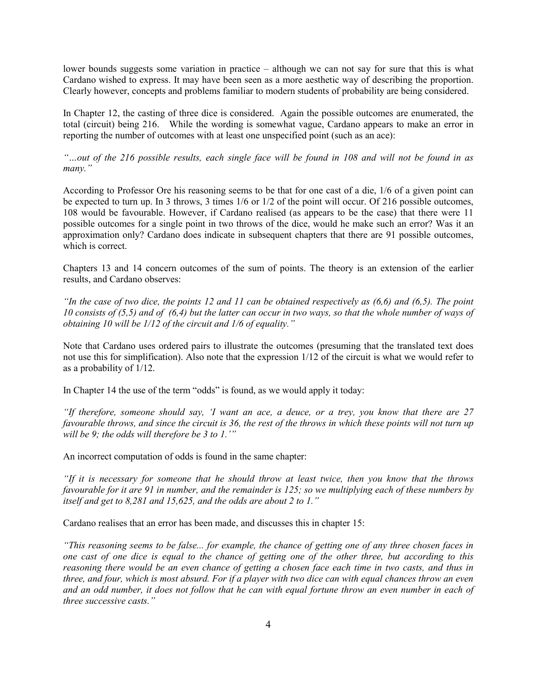lower bounds suggests some variation in practice – although we can not say for sure that this is what Cardano wished to express. It may have been seen as a more aesthetic way of describing the proportion. Clearly however, concepts and problems familiar to modern students of probability are being considered.

In Chapter 12, the casting of three dice is considered. Again the possible outcomes are enumerated, the total (circuit) being 216. While the wording is somewhat vague, Cardano appears to make an error in reporting the number of outcomes with at least one unspecified point (such as an ace):

*"…out of the 216 possible results, each single face will be found in 108 and will not be found in as many."*

According to Professor Ore his reasoning seems to be that for one cast of a die, 1/6 of a given point can be expected to turn up. In 3 throws, 3 times 1/6 or 1/2 of the point will occur. Of 216 possible outcomes, 108 would be favourable. However, if Cardano realised (as appears to be the case) that there were 11 possible outcomes for a single point in two throws of the dice, would he make such an error? Was it an approximation only? Cardano does indicate in subsequent chapters that there are 91 possible outcomes, which is correct.

Chapters 13 and 14 concern outcomes of the sum of points. The theory is an extension of the earlier results, and Cardano observes:

*"In the case of two dice, the points 12 and 11 can be obtained respectively as (6,6) and (6,5). The point 10 consists of (5,5) and of (6,4) but the latter can occur in two ways, so that the whole number of ways of obtaining 10 will be 1/12 of the circuit and 1/6 of equality."*

Note that Cardano uses ordered pairs to illustrate the outcomes (presuming that the translated text does not use this for simplification). Also note that the expression 1/12 of the circuit is what we would refer to as a probability of 1/12.

In Chapter 14 the use of the term "odds" is found, as we would apply it today:

*"If therefore, someone should say, 'I want an ace, a deuce, or a trey, you know that there are 27 favourable throws, and since the circuit is 36, the rest of the throws in which these points will not turn up will be 9; the odds will therefore be 3 to 1.'"*

An incorrect computation of odds is found in the same chapter:

*"If it is necessary for someone that he should throw at least twice, then you know that the throws favourable for it are 91 in number, and the remainder is 125; so we multiplying each of these numbers by itself and get to 8,281 and 15,625, and the odds are about 2 to 1."*

Cardano realises that an error has been made, and discusses this in chapter 15:

*"This reasoning seems to be false... for example, the chance of getting one of any three chosen faces in one cast of one dice is equal to the chance of getting one of the other three, but according to this reasoning there would be an even chance of getting a chosen face each time in two casts, and thus in three, and four, which is most absurd. For if a player with two dice can with equal chances throw an even and an odd number, it does not follow that he can with equal fortune throw an even number in each of three successive casts."*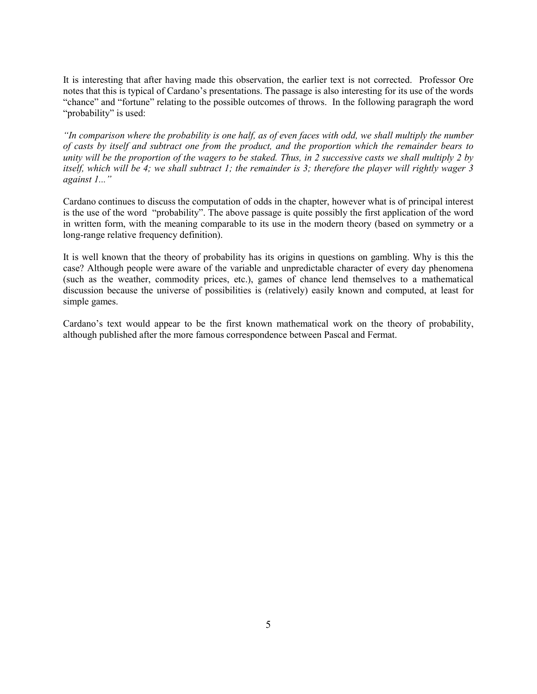It is interesting that after having made this observation, the earlier text is not corrected. Professor Ore notes that this is typical of Cardano's presentations. The passage is also interesting for its use of the words "chance" and "fortune" relating to the possible outcomes of throws. In the following paragraph the word "probability" is used:

*"In comparison where the probability is one half, as of even faces with odd, we shall multiply the number of casts by itself and subtract one from the product, and the proportion which the remainder bears to unity will be the proportion of the wagers to be staked. Thus, in 2 successive casts we shall multiply 2 by itself, which will be 4; we shall subtract 1; the remainder is 3; therefore the player will rightly wager 3 against 1..."*

Cardano continues to discuss the computation of odds in the chapter, however what is of principal interest is the use of the word "probability". The above passage is quite possibly the first application of the word in written form, with the meaning comparable to its use in the modern theory (based on symmetry or a long-range relative frequency definition).

It is well known that the theory of probability has its origins in questions on gambling. Why is this the case? Although people were aware of the variable and unpredictable character of every day phenomena (such as the weather, commodity prices, etc.), games of chance lend themselves to a mathematical discussion because the universe of possibilities is (relatively) easily known and computed, at least for simple games.

Cardano's text would appear to be the first known mathematical work on the theory of probability, although published after the more famous correspondence between Pascal and Fermat.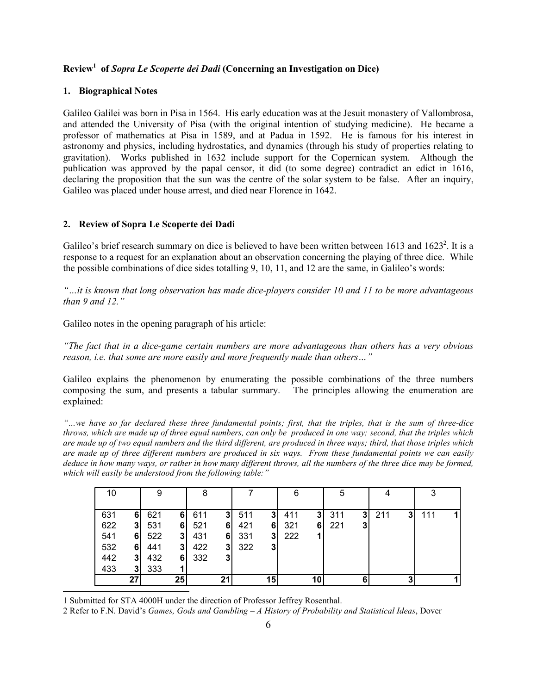# **Review1 of** *Sopra Le Scoperte dei Dadi* **(Concerning an Investigation on Dice)**

### **1. Biographical Notes**

Galileo Galilei was born in Pisa in 1564. His early education was at the Jesuit monastery of Vallombrosa, and attended the University of Pisa (with the original intention of studying medicine). He became a professor of mathematics at Pisa in 1589, and at Padua in 1592. He is famous for his interest in astronomy and physics, including hydrostatics, and dynamics (through his study of properties relating to gravitation). Works published in 1632 include support for the Copernican system. Although the publication was approved by the papal censor, it did (to some degree) contradict an edict in 1616, declaring the proposition that the sun was the centre of the solar system to be false. After an inquiry, Galileo was placed under house arrest, and died near Florence in 1642.

### **2. Review of Sopra Le Scoperte dei Dadi**

Galileo's brief research summary on dice is believed to have been written between  $1613$  and  $1623<sup>2</sup>$ . It is a response to a request for an explanation about an observation concerning the playing of three dice. While the possible combinations of dice sides totalling 9, 10, 11, and 12 are the same, in Galileo's words:

*"…it is known that long observation has made dice-players consider 10 and 11 to be more advantageous than 9 and 12."*

Galileo notes in the opening paragraph of his article:

*"The fact that in a dice-game certain numbers are more advantageous than others has a very obvious reason, i.e. that some are more easily and more frequently made than others…"*

Galileo explains the phenomenon by enumerating the possible combinations of the three numbers composing the sum, and presents a tabular summary. The principles allowing the enumeration are explained:

*"…we have so far declared these three fundamental points; first, that the triples, that is the sum of three-dice throws, which are made up of three equal numbers, can only be produced in one way; second, that the triples which are made up of two equal numbers and the third different, are produced in three ways; third, that those triples which are made up of three different numbers are produced in six ways. From these fundamental points we can easily deduce in how many ways, or rather in how many different throws, all the numbers of the three dice may be formed, which will easily be understood from the following table:"*

| 10  |                |     |             | 8   |                |     |                | 6   |    | 5   |   |     |   | 3   |  |
|-----|----------------|-----|-------------|-----|----------------|-----|----------------|-----|----|-----|---|-----|---|-----|--|
|     |                |     |             |     |                |     |                |     |    |     |   |     |   |     |  |
| 631 | 61             | 621 | 61          | 611 | 31             | 511 | 3 <sup>1</sup> | 411 | 31 | 311 | 3 | 211 | 3 | 111 |  |
| 622 | 31             | 531 | 6           | 521 | 61             | 421 | 61             | 321 | 61 | 221 | 3 |     |   |     |  |
| 541 | 6              | 522 | 31          | 431 | 61             | 331 | 31             | 222 |    |     |   |     |   |     |  |
| 532 | 6              | 441 | 31          | 422 | 3              | 322 | 3              |     |    |     |   |     |   |     |  |
| 442 | 31             | 432 | 6           | 332 | 3 <sub>l</sub> |     |                |     |    |     |   |     |   |     |  |
| 433 | 3 <sub>l</sub> | 333 | $\mathbf 1$ |     |                |     |                |     |    |     |   |     |   |     |  |
|     | 27             |     | 25          |     | 21             |     | 15             |     | 10 |     |   |     |   |     |  |

1 Submitted for STA 4000H under the direction of Professor Jeffrey Rosenthal.

 $\overline{a}$ 

2 Refer to F.N. David's *Games, Gods and Gambling – A History of Probability and Statistical Ideas*, Dover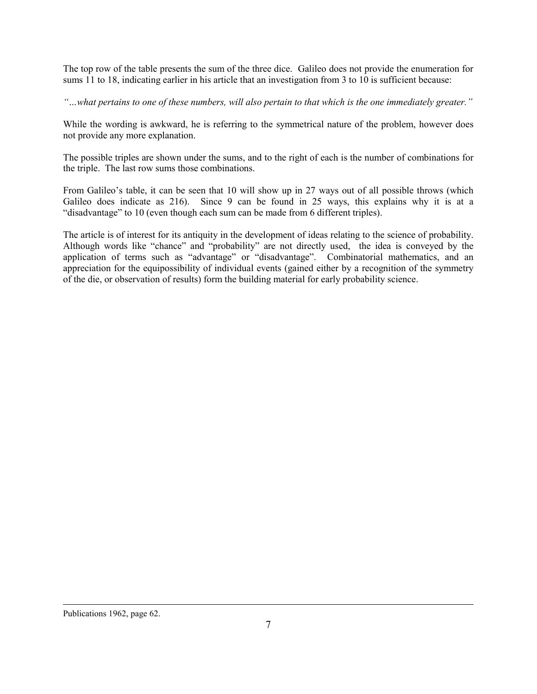The top row of the table presents the sum of the three dice. Galileo does not provide the enumeration for sums 11 to 18, indicating earlier in his article that an investigation from 3 to 10 is sufficient because:

*"…what pertains to one of these numbers, will also pertain to that which is the one immediately greater."*

While the wording is awkward, he is referring to the symmetrical nature of the problem, however does not provide any more explanation.

The possible triples are shown under the sums, and to the right of each is the number of combinations for the triple. The last row sums those combinations.

From Galileo's table, it can be seen that 10 will show up in 27 ways out of all possible throws (which Galileo does indicate as 216). Since 9 can be found in 25 ways, this explains why it is at a "disadvantage" to 10 (even though each sum can be made from 6 different triples).

The article is of interest for its antiquity in the development of ideas relating to the science of probability. Although words like "chance" and "probability" are not directly used, the idea is conveyed by the application of terms such as "advantage" or "disadvantage". Combinatorial mathematics, and an appreciation for the equipossibility of individual events (gained either by a recognition of the symmetry of the die, or observation of results) form the building material for early probability science.

## Publications 1962, page 62.

l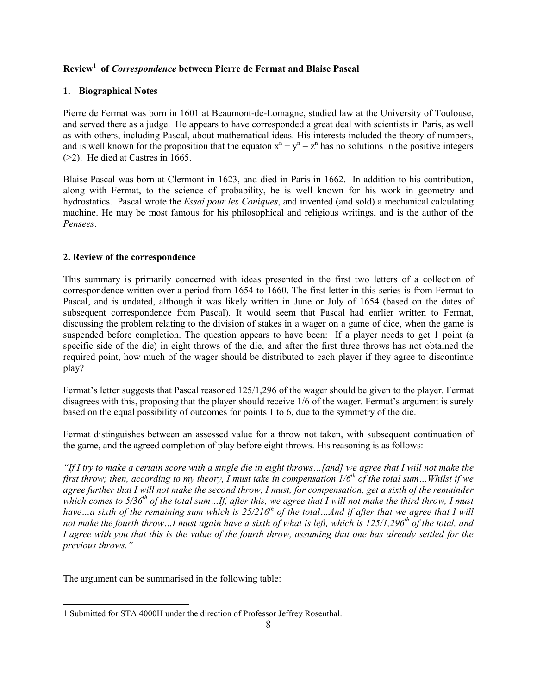# **Review1 of** *Correspondence* **between Pierre de Fermat and Blaise Pascal**

## **1. Biographical Notes**

Pierre de Fermat was born in 1601 at Beaumont-de-Lomagne, studied law at the University of Toulouse, and served there as a judge. He appears to have corresponded a great deal with scientists in Paris, as well as with others, including Pascal, about mathematical ideas. His interests included the theory of numbers, and is well known for the proposition that the equaton  $x^n + y^n = z^n$  has no solutions in the positive integers (>2). He died at Castres in 1665.

Blaise Pascal was born at Clermont in 1623, and died in Paris in 1662. In addition to his contribution, along with Fermat, to the science of probability, he is well known for his work in geometry and hydrostatics. Pascal wrote the *Essai pour les Coniques*, and invented (and sold) a mechanical calculating machine. He may be most famous for his philosophical and religious writings, and is the author of the *Pensees*.

## **2. Review of the correspondence**

This summary is primarily concerned with ideas presented in the first two letters of a collection of correspondence written over a period from 1654 to 1660. The first letter in this series is from Fermat to Pascal, and is undated, although it was likely written in June or July of 1654 (based on the dates of subsequent correspondence from Pascal). It would seem that Pascal had earlier written to Fermat, discussing the problem relating to the division of stakes in a wager on a game of dice, when the game is suspended before completion. The question appears to have been: If a player needs to get 1 point (a specific side of the die) in eight throws of the die, and after the first three throws has not obtained the required point, how much of the wager should be distributed to each player if they agree to discontinue play?

Fermat's letter suggests that Pascal reasoned 125/1,296 of the wager should be given to the player. Fermat disagrees with this, proposing that the player should receive 1/6 of the wager. Fermat's argument is surely based on the equal possibility of outcomes for points 1 to 6, due to the symmetry of the die.

Fermat distinguishes between an assessed value for a throw not taken, with subsequent continuation of the game, and the agreed completion of play before eight throws. His reasoning is as follows:

*"If I try to make a certain score with a single die in eight throws…[and] we agree that I will not make the first throw; then, according to my theory, I must take in compensation*  $1/6<sup>th</sup>$  *of the total sum...Whilst if we agree further that I will not make the second throw, I must, for compensation, get a sixth of the remainder which comes to 5/36th of the total sum…If, after this, we agree that I will not make the third throw, I must* have ... a sixth of the remaining sum which is 25/216<sup>th</sup> of the total... And if after that we agree that I will not make the fourth throw...I must again have a sixth of what is left, which is 125/1,296<sup>th</sup> of the total, and *I agree with you that this is the value of the fourth throw, assuming that one has already settled for the previous throws."*

The argument can be summarised in the following table:

l

<sup>1</sup> Submitted for STA 4000H under the direction of Professor Jeffrey Rosenthal.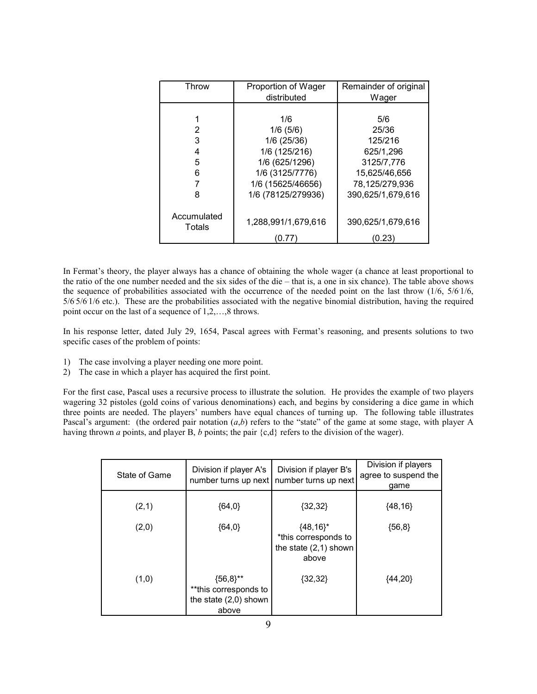| Throw                 | Proportion of Wager | Remainder of original |  |  |
|-----------------------|---------------------|-----------------------|--|--|
|                       | distributed         | Wager                 |  |  |
|                       |                     |                       |  |  |
|                       | 1/6                 | 5/6                   |  |  |
| 2                     | 1/6(5/6)            | 25/36                 |  |  |
| 3                     | 1/6 (25/36)         | 125/216               |  |  |
| 4                     | 1/6 (125/216)       | 625/1,296             |  |  |
| 5                     | 1/6 (625/1296)      | 3125/7,776            |  |  |
| 6                     | 1/6 (3125/7776)     | 15,625/46,656         |  |  |
|                       | 1/6 (15625/46656)   | 78,125/279,936        |  |  |
| 8                     | 1/6 (78125/279936)  | 390,625/1,679,616     |  |  |
|                       |                     |                       |  |  |
| Accumulated<br>Totals | 1,288,991/1,679,616 | 390,625/1,679,616     |  |  |
|                       | (0.77               | (0.23)                |  |  |

In Fermat's theory, the player always has a chance of obtaining the whole wager (a chance at least proportional to the ratio of the one number needed and the six sides of the die – that is, a one in six chance). The table above shows the sequence of probabilities associated with the occurrence of the needed point on the last throw (1/6, 5/61/6, 5/6. 5/6. 1/6 etc.). These are the probabilities associated with the negative binomial distribution, having the required point occur on the last of a sequence of 1,2,…,8 throws.

In his response letter, dated July 29, 1654, Pascal agrees with Fermat's reasoning, and presents solutions to two specific cases of the problem of points:

- 1) The case involving a player needing one more point.
- 2) The case in which a player has acquired the first point.

For the first case, Pascal uses a recursive process to illustrate the solution. He provides the example of two players wagering 32 pistoles (gold coins of various denominations) each, and begins by considering a dice game in which three points are needed. The players' numbers have equal chances of turning up. The following table illustrates Pascal's argument: (the ordered pair notation  $(a,b)$  refers to the "state" of the game at some stage, with player A having thrown *a* points, and player B, *b* points; the pair {c,d} refers to the division of the wager).

| State of Game | Division if player A's<br>number turns up next                           | Division if player B's<br>number turns up next                          | Division if players<br>agree to suspend the<br>game |  |
|---------------|--------------------------------------------------------------------------|-------------------------------------------------------------------------|-----------------------------------------------------|--|
| (2,1)         | ${64,0}$                                                                 | ${32,32}$                                                               | ${48,16}$                                           |  |
| (2,0)         | ${64,0}$                                                                 | ${48,16}^*$<br>*this corresponds to<br>the state $(2,1)$ shown<br>above | ${56,8}$                                            |  |
| (1,0)         | ${56,8}$ **<br>**this corresponds to<br>the state $(2,0)$ shown<br>above | ${32,32}$                                                               | ${44,20}$                                           |  |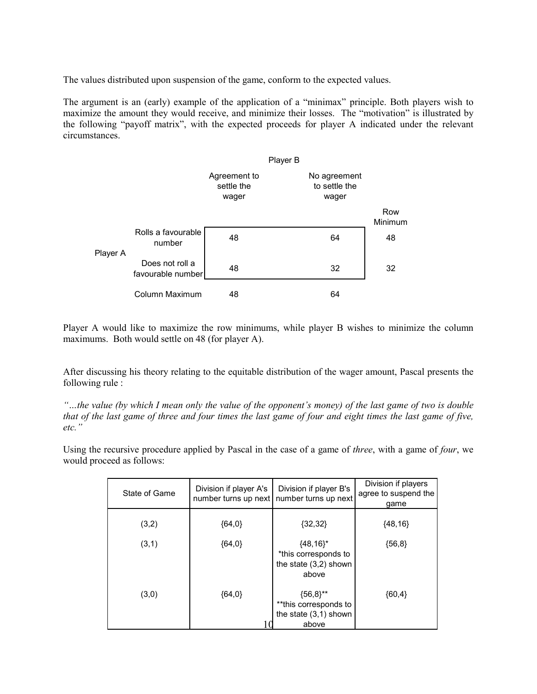The values distributed upon suspension of the game, conform to the expected values.

The argument is an (early) example of the application of a "minimax" principle. Both players wish to maximize the amount they would receive, and minimize their losses. The "motivation" is illustrated by the following "payoff matrix", with the expected proceeds for player A indicated under the relevant circumstances.

|          |                                      |                                     | Player B |                                        |                |
|----------|--------------------------------------|-------------------------------------|----------|----------------------------------------|----------------|
|          |                                      | Agreement to<br>settle the<br>wager |          | No agreement<br>to settle the<br>wager |                |
|          |                                      |                                     |          |                                        | Row<br>Minimum |
| Player A | Rolls a favourable<br>number         | 48                                  |          | 64                                     | 48             |
|          | Does not roll a<br>favourable number | 48                                  |          | 32                                     | 32             |
|          | Column Maximum                       | 48                                  |          | 64                                     |                |

Player A would like to maximize the row minimums, while player B wishes to minimize the column maximums. Both would settle on 48 (for player A).

After discussing his theory relating to the equitable distribution of the wager amount, Pascal presents the following rule :

*"…the value (by which I mean only the value of the opponent's money) of the last game of two is double that of the last game of three and four times the last game of four and eight times the last game of five, etc."*

Using the recursive procedure applied by Pascal in the case of a game of *three*, with a game of *four*, we would proceed as follows:

| State of Game | Division if player A's | Division if player B's<br>number turns up next   number turns up next    | Division if players<br>agree to suspend the<br>qame |  |
|---------------|------------------------|--------------------------------------------------------------------------|-----------------------------------------------------|--|
| (3,2)         | ${64,0}$               | ${32,32}$                                                                | ${48,16}$                                           |  |
| (3,1)         | ${64,0}$               | ${48,16}^*$<br>*this corresponds to<br>the state $(3,2)$ shown<br>above  | ${56,8}$                                            |  |
| (3,0)         | ${64,0}$               | ${56,8}$ **<br>**this corresponds to<br>the state $(3,1)$ shown<br>above | ${60,4}$                                            |  |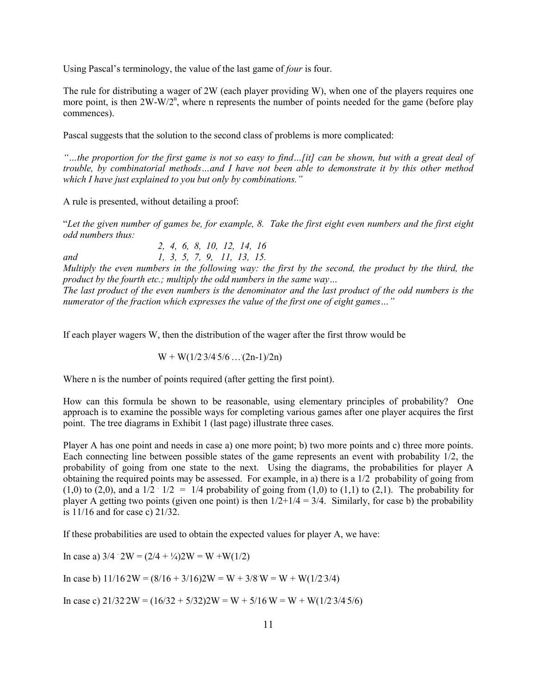Using Pascal's terminology, the value of the last game of *four* is four.

The rule for distributing a wager of 2W (each player providing W), when one of the players requires one more point, is then 2W-W/2<sup>n</sup>, where n represents the number of points needed for the game (before play commences).

Pascal suggests that the solution to the second class of problems is more complicated:

*"…the proportion for the first game is not so easy to find…[it] can be shown, but with a great deal of trouble, by combinatorial methods…and I have not been able to demonstrate it by this other method which I have just explained to you but only by combinations."*

A rule is presented, without detailing a proof:

"*Let the given number of games be, for example, 8. Take the first eight even numbers and the first eight odd numbers thus:*

*2, 4, 6, 8, 10, 12, 14, 16 and 1, 3, 5, 7, 9, 11, 13, 15.*

*Multiply the even numbers in the following way: the first by the second, the product by the third, the product by the fourth etc.; multiply the odd numbers in the same way…*

*The last product of the even numbers is the denominator and the last product of the odd numbers is the numerator of the fraction which expresses the value of the first one of eight games…"*

If each player wagers W, then the distribution of the wager after the first throw would be

 $W + W(1/2 \cdot 3/4 \cdot 5/6 \dots (2n-1)/2n)$ 

Where n is the number of points required (after getting the first point).

How can this formula be shown to be reasonable, using elementary principles of probability? One approach is to examine the possible ways for completing various games after one player acquires the first point. The tree diagrams in Exhibit 1 (last page) illustrate three cases.

Player A has one point and needs in case a) one more point; b) two more points and c) three more points. Each connecting line between possible states of the game represents an event with probability 1/2, the probability of going from one state to the next. Using the diagrams, the probabilities for player A obtaining the required points may be assessed. For example, in a) there is a  $1/2$  probability of going from  $(1,0)$  to  $(2,0)$ , and a  $1/2 \cdot 1/2 = 1/4$  probability of going from  $(1,0)$  to  $(1,1)$  to  $(2,1)$ . The probability for player A getting two points (given one point) is then  $1/2+1/4 = 3/4$ . Similarly, for case b) the probability is 11/16 and for case c) 21/32.

If these probabilities are used to obtain the expected values for player A, we have:

In case a)  $3/4 \cdot 2W = (2/4 + \frac{1}{4})2W = W + W(1/2)$ 

In case b)  $11/162W = (8/16 + 3/16)2W = W + 3/8 \cdot W = W + W(1/2 \cdot 3/4)$ 

In case c)  $21/322W = (16/32 + 5/32)2W = W + 5/16W = W + W(1/2.3/4.5/6)$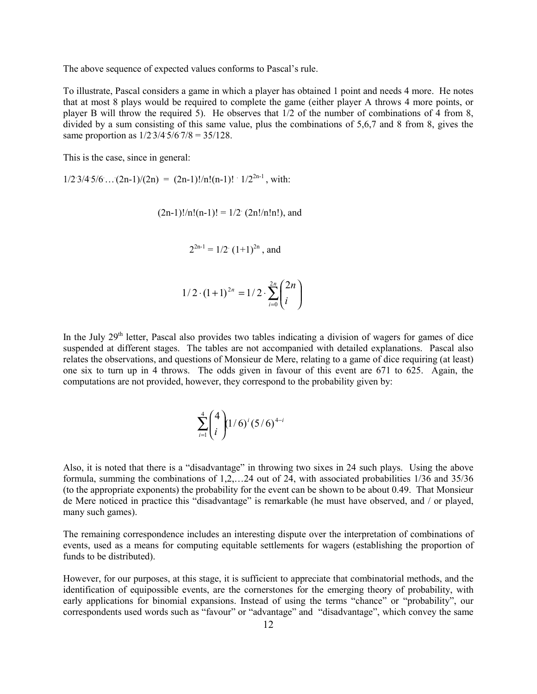The above sequence of expected values conforms to Pascal's rule.

To illustrate, Pascal considers a game in which a player has obtained 1 point and needs 4 more. He notes that at most 8 plays would be required to complete the game (either player A throws 4 more points, or player B will throw the required 5). He observes that 1/2 of the number of combinations of 4 from 8, divided by a sum consisting of this same value, plus the combinations of 5,6,7 and 8 from 8, gives the same proportion as  $1/2 \frac{3}{4} \frac{5}{6} \frac{7}{8} = \frac{35}{128}$ .

This is the case, since in general:

 $1/2 \frac{3}{4} \frac{5}{6} \dots \frac{(2n-1)}{(2n)} = \frac{(2n-1)!}{n!(n-1)!} \cdot \frac{1}{2^{2n-1}}$ , with:

 $(2n-1)!/n!(n-1)! = 1/2$   $(2n!/n!n!)$ , and

$$
2^{2n-1} = 1/2 \ (1+1)^{2n}
$$
, and

$$
1/2 \cdot (1+1)^{2n} = 1/2 \cdot \sum_{i=0}^{2n} {2n \choose i}
$$

In the July  $29<sup>th</sup>$  letter, Pascal also provides two tables indicating a division of wagers for games of dice suspended at different stages. The tables are not accompanied with detailed explanations. Pascal also relates the observations, and questions of Monsieur de Mere, relating to a game of dice requiring (at least) one six to turn up in 4 throws. The odds given in favour of this event are 671 to 625. Again, the computations are not provided, however, they correspond to the probability given by:

$$
\sum_{i=1}^{4} {4 \choose i} (1/6)^{i} (5/6)^{4-i}
$$

Also, it is noted that there is a "disadvantage" in throwing two sixes in 24 such plays. Using the above formula, summing the combinations of 1,2,…24 out of 24, with associated probabilities 1/36 and 35/36 (to the appropriate exponents) the probability for the event can be shown to be about 0.49. That Monsieur de Mere noticed in practice this "disadvantage" is remarkable (he must have observed, and / or played, many such games).

The remaining correspondence includes an interesting dispute over the interpretation of combinations of events, used as a means for computing equitable settlements for wagers (establishing the proportion of funds to be distributed).

However, for our purposes, at this stage, it is sufficient to appreciate that combinatorial methods, and the identification of equipossible events, are the cornerstones for the emerging theory of probability, with early applications for binomial expansions. Instead of using the terms "chance" or "probability", our correspondents used words such as "favour" or "advantage" and "disadvantage", which convey the same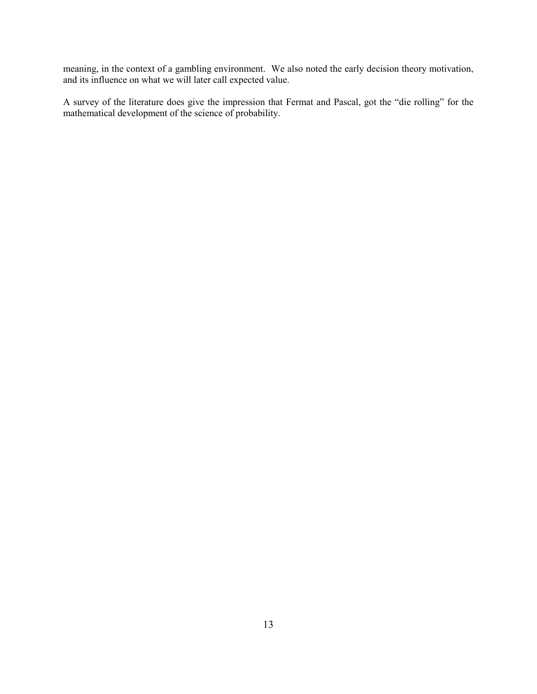meaning, in the context of a gambling environment. We also noted the early decision theory motivation, and its influence on what we will later call expected value.

A survey of the literature does give the impression that Fermat and Pascal, got the "die rolling" for the mathematical development of the science of probability.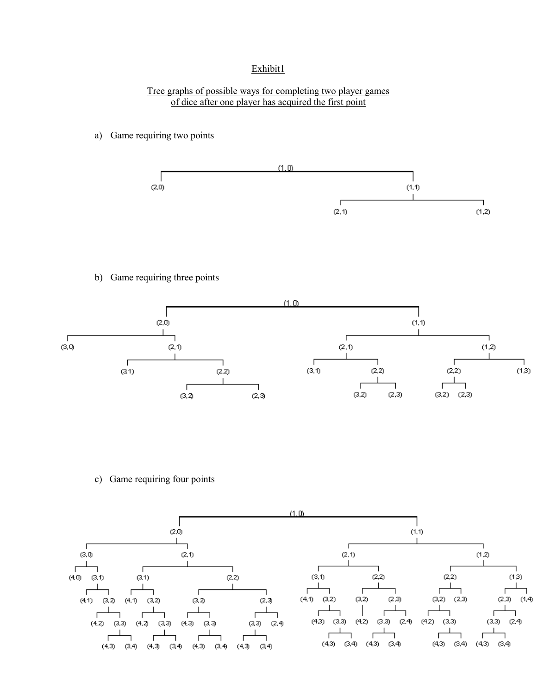# Exhibit1

## Tree graphs of possible ways for completing two player games of dice after one player has acquired the first point

a) Game requiring two points



b) Game requiring three points



c) Game requiring four points

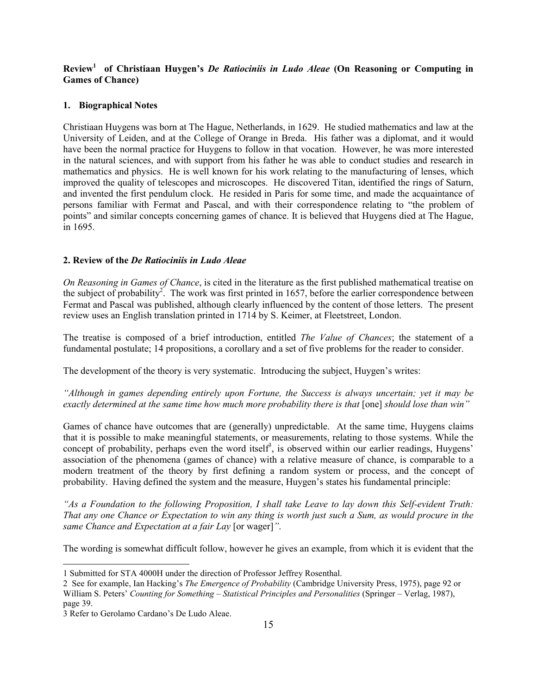# **Review1 of Christiaan Huygen's** *De Ratiociniis in Ludo Aleae* **(On Reasoning or Computing in Games of Chance)**

#### **1. Biographical Notes**

Christiaan Huygens was born at The Hague, Netherlands, in 1629. He studied mathematics and law at the University of Leiden, and at the College of Orange in Breda. His father was a diplomat, and it would have been the normal practice for Huygens to follow in that vocation. However, he was more interested in the natural sciences, and with support from his father he was able to conduct studies and research in mathematics and physics. He is well known for his work relating to the manufacturing of lenses, which improved the quality of telescopes and microscopes. He discovered Titan, identified the rings of Saturn, and invented the first pendulum clock. He resided in Paris for some time, and made the acquaintance of persons familiar with Fermat and Pascal, and with their correspondence relating to "the problem of points" and similar concepts concerning games of chance. It is believed that Huygens died at The Hague, in 1695.

### **2. Review of the** *De Ratiociniis in Ludo Aleae*

*On Reasoning in Games of Chance*, is cited in the literature as the first published mathematical treatise on the subject of probability<sup>2</sup>. The work was first printed in 1657, before the earlier correspondence between Fermat and Pascal was published, although clearly influenced by the content of those letters. The present review uses an English translation printed in 1714 by S. Keimer, at Fleetstreet, London.

The treatise is composed of a brief introduction, entitled *The Value of Chances*; the statement of a fundamental postulate; 14 propositions, a corollary and a set of five problems for the reader to consider.

The development of the theory is very systematic. Introducing the subject, Huygen's writes:

*"Although in games depending entirely upon Fortune, the Success is always uncertain; yet it may be exactly determined at the same time how much more probability there is that* [one] *should lose than win*"

Games of chance have outcomes that are (generally) unpredictable. At the same time, Huygens claims that it is possible to make meaningful statements, or measurements, relating to those systems. While the concept of probability, perhaps even the word itself<sup>3</sup>, is observed within our earlier readings, Huygens' association of the phenomena (games of chance) with a relative measure of chance, is comparable to a modern treatment of the theory by first defining a random system or process, and the concept of probability. Having defined the system and the measure, Huygen's states his fundamental principle:

*"As a Foundation to the following Proposition, I shall take Leave to lay down this Self-evident Truth: That any one Chance or Expectation to win any thing is worth just such a Sum, as would procure in the same Chance and Expectation at a fair Lay* [or wager]*"*.

The wording is somewhat difficult follow, however he gives an example, from which it is evident that the

 $\overline{a}$ 

<sup>1</sup> Submitted for STA 4000H under the direction of Professor Jeffrey Rosenthal.

<sup>2</sup> See for example, Ian Hacking's *The Emergence of Probability* (Cambridge University Press, 1975), page 92 or William S. Peters' *Counting for Something – Statistical Principles and Personalities* (Springer – Verlag, 1987), page 39.

<sup>3</sup> Refer to Gerolamo Cardano's De Ludo Aleae.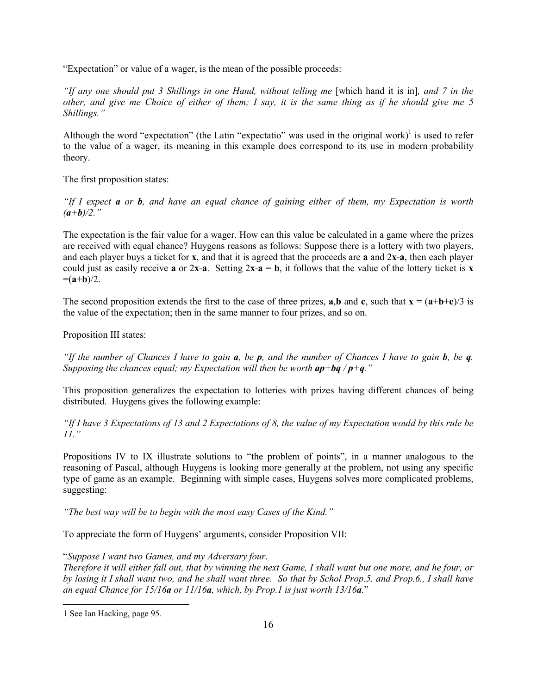"Expectation" or value of a wager, is the mean of the possible proceeds:

*"If any one should put 3 Shillings in one Hand, without telling me* [which hand it is in], and 7 in the *other, and give me Choice of either of them; I say, it is the same thing as if he should give me 5 Shillings."*

Although the word "expectation" (the Latin "expectatio" was used in the original work)<sup>1</sup> is used to refer to the value of a wager, its meaning in this example does correspond to its use in modern probability theory.

The first proposition states:

*"If I expect a or b, and have an equal chance of gaining either of them, my Expectation is worth*  $(a+b)/2$ ."

The expectation is the fair value for a wager. How can this value be calculated in a game where the prizes are received with equal chance? Huygens reasons as follows: Suppose there is a lottery with two players, and each player buys a ticket for **x**, and that it is agreed that the proceeds are **a** and 2**x**-**a**, then each player could just as easily receive **a** or  $2x - a$ . Setting  $2x - a = b$ , it follows that the value of the lottery ticket is **x**  $=(a+b)/2$ .

The second proposition extends the first to the case of three prizes, **a**,**b** and **c**, such that  $\mathbf{x} = (\mathbf{a} + \mathbf{b} + \mathbf{c})/3$  is the value of the expectation; then in the same manner to four prizes, and so on.

Proposition III states:

*"If the number of Chances I have to gain a, be p, and the number of Chances I have to gain b, be q. Supposing the chances equal; my Expectation will then be worth*  $ap + bq / p + q$ *."* 

This proposition generalizes the expectation to lotteries with prizes having different chances of being distributed. Huygens gives the following example:

*"If I have 3 Expectations of 13 and 2 Expectations of 8, the value of my Expectation would by this rule be 11."*

Propositions IV to IX illustrate solutions to "the problem of points", in a manner analogous to the reasoning of Pascal, although Huygens is looking more generally at the problem, not using any specific type of game as an example. Beginning with simple cases, Huygens solves more complicated problems, suggesting:

*"The best way will be to begin with the most easy Cases of the Kind."*

To appreciate the form of Huygens' arguments, consider Proposition VII:

"*Suppose I want two Games, and my Adversary four*.

*Therefore it will either fall out, that by winning the next Game, I shall want but one more, and he four, or by losing it I shall want two, and he shall want three. So that by Schol Prop.5. and Prop.6., I shall have an equal Chance for 15/16a or 11/16a, which, by Prop.1 is just worth 13/16a.*"

l

<sup>1</sup> See Ian Hacking, page 95.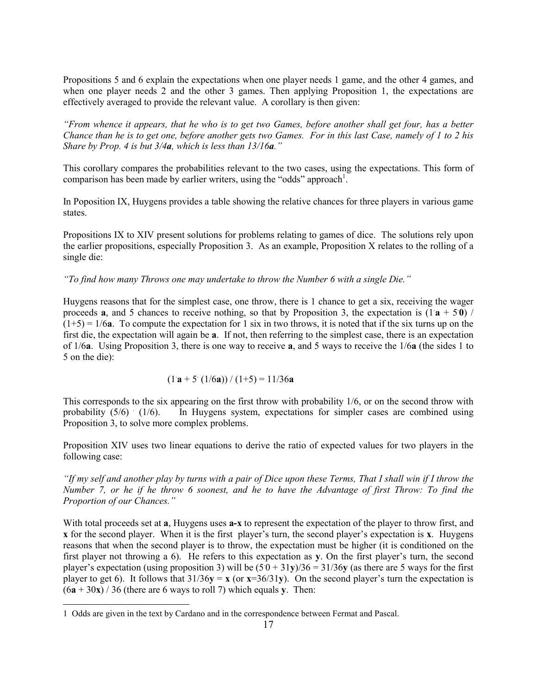Propositions 5 and 6 explain the expectations when one player needs 1 game, and the other 4 games, and when one player needs 2 and the other 3 games. Then applying Proposition 1, the expectations are effectively averaged to provide the relevant value. A corollary is then given:

*"From whence it appears, that he who is to get two Games, before another shall get four, has a better Chance than he is to get one, before another gets two Games. For in this last Case, namely of 1 to 2 his Share by Prop. 4 is but 3/4a, which is less than 13/16a."*

This corollary compares the probabilities relevant to the two cases, using the expectations. This form of comparison has been made by earlier writers, using the "odds" approach<sup>1</sup>.

In Poposition IX, Huygens provides a table showing the relative chances for three players in various game states.

Propositions IX to XIV present solutions for problems relating to games of dice. The solutions rely upon the earlier propositions, especially Proposition 3. As an example, Proposition X relates to the rolling of a single die:

*"To find how many Throws one may undertake to throw the Number 6 with a single Die."*

Huygens reasons that for the simplest case, one throw, there is 1 chance to get a six, receiving the wager proceeds **a**, and 5 chances to receive nothing, so that by Proposition 3, the expectation is  $(1a + 50)$  $(1+5) = 1/6a$ . To compute the expectation for 1 six in two throws, it is noted that if the six turns up on the first die, the expectation will again be **a**. If not, then referring to the simplest case, there is an expectation of 1/6**a**. Using Proposition 3, there is one way to receive **a**, and 5 ways to receive the 1/6**a** (the sides 1 to 5 on the die):

$$
(1 \mathbf{a} + 5 \cdot (1/6 \mathbf{a})) / (1+5) = 11/36 \mathbf{a}
$$

This corresponds to the six appearing on the first throw with probability 1/6, or on the second throw with probability  $(5/6)$   $(1/6)$ . In Huygens system, expectations for simpler cases are combined using Proposition 3, to solve more complex problems.

Proposition XIV uses two linear equations to derive the ratio of expected values for two players in the following case:

*"If my self and another play by turns with a pair of Dice upon these Terms, That I shall win if I throw the Number 7, or he if he throw 6 soonest, and he to have the Advantage of first Throw: To find the Proportion of our Chances."*

With total proceeds set at **a**, Huygens uses **a-x** to represent the expectation of the player to throw first, and **x** for the second player. When it is the first player's turn, the second player's expectation is **x**. Huygens reasons that when the second player is to throw, the expectation must be higher (it is conditioned on the first player not throwing a 6). He refers to this expectation as **y**. On the first player's turn, the second player's expectation (using proposition 3) will be  $(5.0 + 31y)/36 = 31/36y$  (as there are 5 ways for the first player to get 6). It follows that  $31/36y = x$  (or  $x=36/31y$ ). On the second player's turn the expectation is  $(6a + 30x)$  / 36 (there are 6 ways to roll 7) which equals **y**. Then:

l

<sup>1</sup> Odds are given in the text by Cardano and in the correspondence between Fermat and Pascal.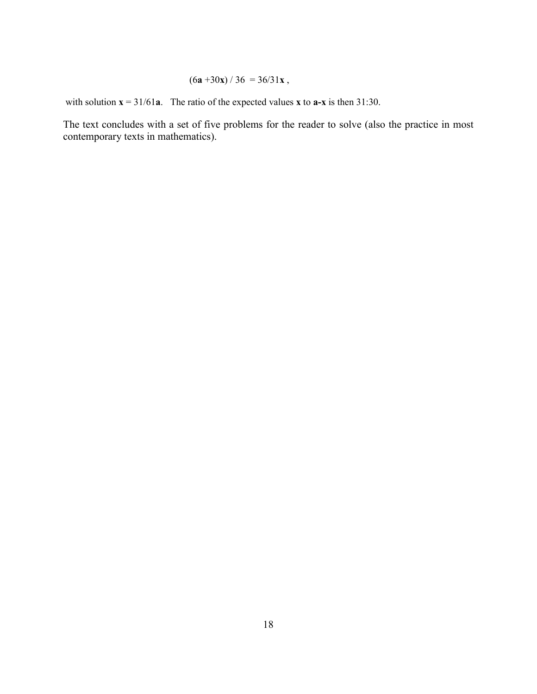# $(6a +30x) / 36 = 36/31x$ ,

with solution  $\mathbf{x} = 31/61\mathbf{a}$ . The ratio of the expected values **x** to  $\mathbf{a}-\mathbf{x}$  is then 31:30.

The text concludes with a set of five problems for the reader to solve (also the practice in most contemporary texts in mathematics).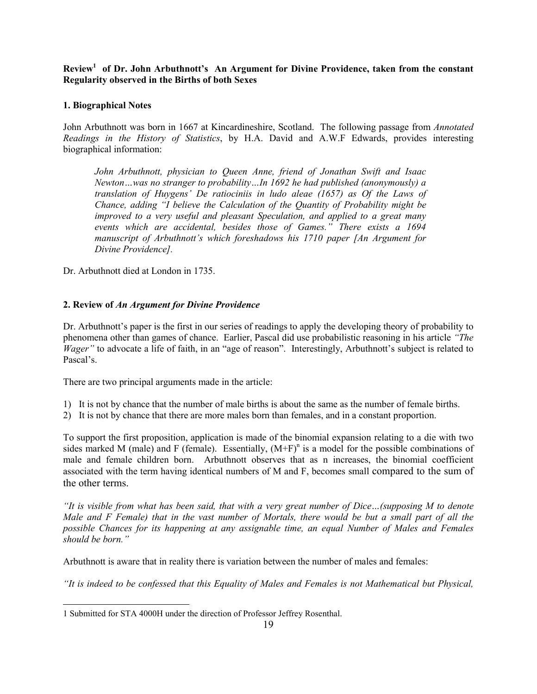Review<sup>1</sup> of Dr. John Arbuthnott's An Argument for Divine Providence, taken from the constant **Regularity observed in the Births of both Sexes**

## **1. Biographical Notes**

John Arbuthnott was born in 1667 at Kincardineshire, Scotland. The following passage from *Annotated Readings in the History of Statistics*, by H.A. David and A.W.F Edwards, provides interesting biographical information:

*John Arbuthnott, physician to Queen Anne, friend of Jonathan Swift and Isaac Newton…was no stranger to probability…In 1692 he had published (anonymously) a translation of Huygens' De ratiociniis in ludo aleae (1657) as Of the Laws of Chance, adding "I believe the Calculation of the Quantity of Probability might be improved to a very useful and pleasant Speculation, and applied to a great many events which are accidental, besides those of Games." There exists a 1694 manuscript of Arbuthnott's which foreshadows his 1710 paper [An Argument for Divine Providence].*

Dr. Arbuthnott died at London in 1735.

## **2. Review of** *An Argument for Divine Providence*

Dr. Arbuthnott's paper is the first in our series of readings to apply the developing theory of probability to phenomena other than games of chance. Earlier, Pascal did use probabilistic reasoning in his article *"The Wager*" to advocate a life of faith, in an "age of reason". Interestingly, Arbuthnott's subject is related to Pascal's.

There are two principal arguments made in the article:

- 1) It is not by chance that the number of male births is about the same as the number of female births.
- 2) It is not by chance that there are more males born than females, and in a constant proportion.

To support the first proposition, application is made of the binomial expansion relating to a die with two sides marked M (male) and F (female). Essentially,  $(M+F)^n$  is a model for the possible combinations of male and female children born. Arbuthnott observes that as n increases, the binomial coefficient associated with the term having identical numbers of M and F, becomes small compared to the sum of the other terms.

*"It is visible from what has been said, that with a very great number of Dice…(supposing M to denote Male and F Female) that in the vast number of Mortals, there would be but a small part of all the possible Chances for its happening at any assignable time, an equal Number of Males and Females should be born."*

Arbuthnott is aware that in reality there is variation between the number of males and females:

*"It is indeed to be confessed that this Equality of Males and Females is not Mathematical but Physical,*

l

<sup>1</sup> Submitted for STA 4000H under the direction of Professor Jeffrey Rosenthal.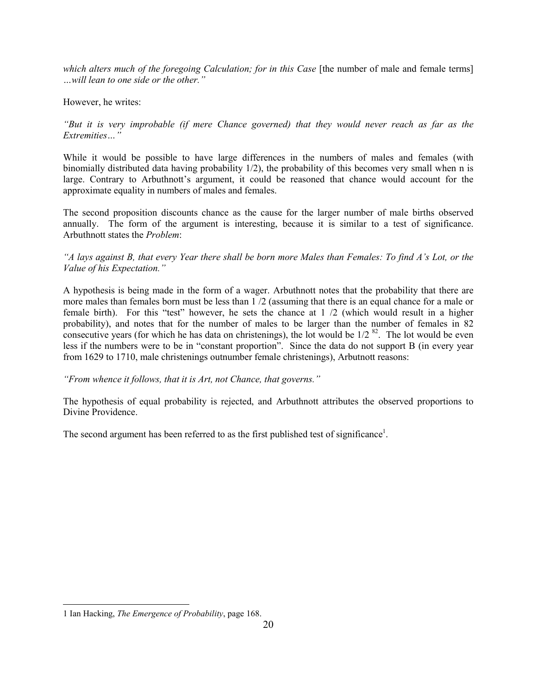*which alters much of the foregoing Calculation; for in this Case* [the number of male and female terms] *…will lean to one side or the other."*

## However, he writes:

# *"But it is very improbable (if mere Chance governed) that they would never reach as far as the Extremities…"*

While it would be possible to have large differences in the numbers of males and females (with binomially distributed data having probability 1/2), the probability of this becomes very small when n is large. Contrary to Arbuthnott's argument, it could be reasoned that chance would account for the approximate equality in numbers of males and females.

The second proposition discounts chance as the cause for the larger number of male births observed annually. The form of the argument is interesting, because it is similar to a test of significance. Arbuthnott states the *Problem*:

## *"A lays against B, that every Year there shall be born more Males than Females: To find A's Lot, or the Value of his Expectation."*

A hypothesis is being made in the form of a wager. Arbuthnott notes that the probability that there are more males than females born must be less than 1 /2 (assuming that there is an equal chance for a male or female birth). For this "test" however, he sets the chance at 1 /2 (which would result in a higher probability), and notes that for the number of males to be larger than the number of females in 82 consecutive years (for which he has data on christenings), the lot would be  $1/2^{82}$ . The lot would be even less if the numbers were to be in "constant proportion". Since the data do not support B (in every year from 1629 to 1710, male christenings outnumber female christenings), Arbutnott reasons:

## *"From whence it follows, that it is Art, not Chance, that governs."*

The hypothesis of equal probability is rejected, and Arbuthnott attributes the observed proportions to Divine Providence.

The second argument has been referred to as the first published test of significance<sup>1</sup>.

l

<sup>1</sup> Ian Hacking, *The Emergence of Probability*, page 168.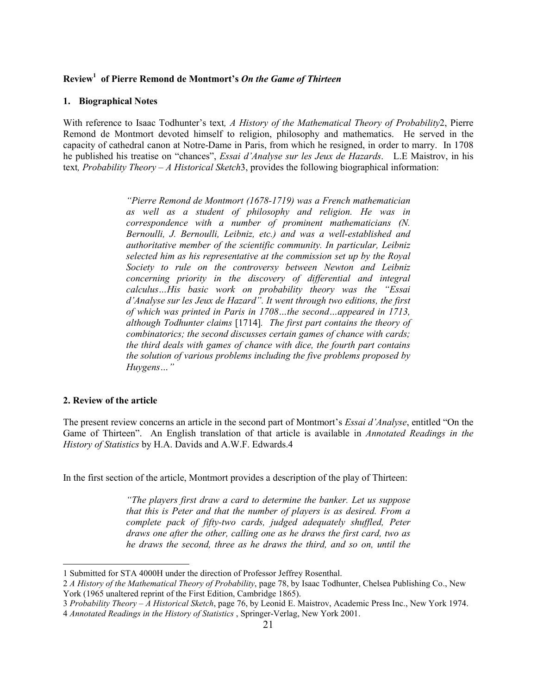# **Review1 of Pierre Remond de Montmort's** *On the Game of Thirteen*

#### **1. Biographical Notes**

With reference to Isaac Todhunter's text*, A History of the Mathematical Theory of Probability*2, Pierre Remond de Montmort devoted himself to religion, philosophy and mathematics. He served in the capacity of cathedral canon at Notre-Dame in Paris, from which he resigned, in order to marry. In 1708 he published his treatise on "chances", *Essai d'Analyse sur les Jeux de Hazards*. L.E Maistrov, in his text*, Probability Theory – A Historical Sketch*3, provides the following biographical information:

> *"Pierre Remond de Montmort (1678-1719) was a French mathematician as well as a student of philosophy and religion. He was in correspondence with a number of prominent mathematicians (N. Bernoulli, J. Bernoulli, Leibniz, etc.) and was a well-established and authoritative member of the scientific community. In particular, Leibniz selected him as his representative at the commission set up by the Royal Society to rule on the controversy between Newton and Leibniz concerning priority in the discovery of differential and integral calculus…His basic work on probability theory was the "Essai d'Analyse sur les Jeux de Hazard". It went through two editions, the first of which was printed in Paris in 1708…the second…appeared in 1713, although Todhunter claims* [1714]*. The first part contains the theory of combinatorics; the second discusses certain games of chance with cards; the third deals with games of chance with dice, the fourth part contains the solution of various problems including the five problems proposed by Huygens…"*

### **2. Review of the article**

 $\overline{\phantom{a}}$ 

The present review concerns an article in the second part of Montmort's *Essai d'Analyse*, entitled "On the Game of Thirteen". An English translation of that article is available in *Annotated Readings in the History of Statistics* by H.A. Davids and A.W.F. Edwards.4

In the first section of the article, Montmort provides a description of the play of Thirteen:

*"The players first draw a card to determine the banker. Let us suppose that this is Peter and that the number of players is as desired. From a complete pack of fifty-two cards, judged adequately shuffled, Peter draws one after the other, calling one as he draws the first card, two as he draws the second, three as he draws the third, and so on, until the*

<sup>1</sup> Submitted for STA 4000H under the direction of Professor Jeffrey Rosenthal.

<sup>2</sup> *A History of the Mathematical Theory of Probability*, page 78, by Isaac Todhunter, Chelsea Publishing Co., New York (1965 unaltered reprint of the First Edition, Cambridge 1865).

<sup>3</sup> *Probability Theory – A Historical Sketch*, page 76, by Leonid E. Maistrov, Academic Press Inc., New York 1974. 4 *Annotated Readings in the History of Statistics* , Springer-Verlag, New York 2001.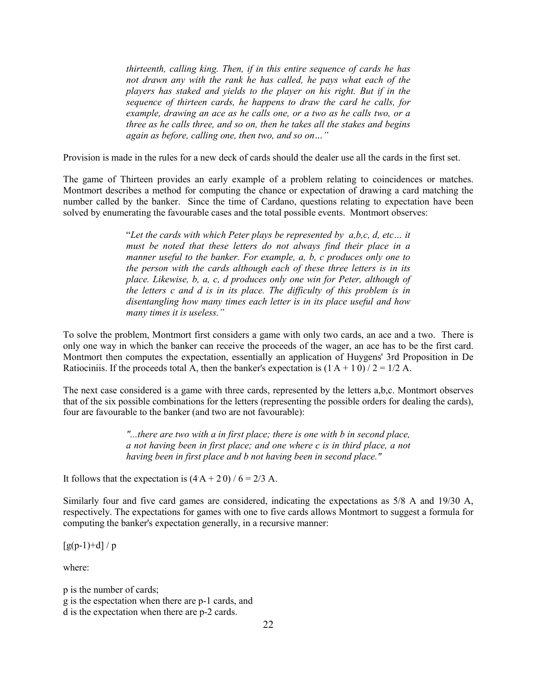*thirteenth, calling king. Then, if in this entire sequence of cards he has not drawn any with the rank he has called, he pays what each of the players has staked and yields to the player on his right. But if in the sequence of thirteen cards, he happens to draw the card he calls, for example, drawing an ace as he calls one, or a two as he calls two, or a three as he calls three, and so on, then he takes all the stakes and begins again as before, calling one, then two, and so on…"*

Provision is made in the rules for a new deck of cards should the dealer use all the cards in the first set.

The game of Thirteen provides an early example of a problem relating to coincidences or matches. Montmort describes a method for computing the chance or expectation of drawing a card matching the number called by the banker. Since the time of Cardano, questions relating to expectation have been solved by enumerating the favourable cases and the total possible events. Montmort observes:

> "*Let the cards with which Peter plays be represented by a,b,c, d, etc… it must be noted that these letters do not always find their place in a manner useful to the banker. For example, a, b, c produces only one to the person with the cards although each of these three letters is in its place. Likewise, b, a, c, d produces only one win for Peter, although of the letters c and d is in its place. The difficulty of this problem is in disentangling how many times each letter is in its place useful and how many times it is useless."*

To solve the problem, Montmort first considers a game with only two cards, an ace and a two. There is only one way in which the banker can receive the proceeds of the wager, an ace has to be the first card. Montmort then computes the expectation, essentially an application of Huygens' 3rd Proposition in De Ratiociniis. If the proceeds total A, then the banker's expectation is  $(1 A + 10)/2 = 1/2 A$ .

The next case considered is a game with three cards, represented by the letters a,b,c. Montmort observes that of the six possible combinations for the letters (representing the possible orders for dealing the cards), four are favourable to the banker (and two are not favourable):

> *"...there are two with a in first place; there is one with b in second place, a not having been in first place; and one where c is in third place, a not having been in first place and b not having been in second place."*

It follows that the expectation is  $(4 \text{ A} + 20) / 6 = 2/3 \text{ A}$ .

Similarly four and five card games are considered, indicating the expectations as 5/8 A and 19/30 A, respectively. The expectations for games with one to five cards allows Montmort to suggest a formula for computing the banker's expectation generally, in a recursive manner:

 $[g(p-1)+d]/p$ 

where:

p is the number of cards; g is the espectation when there are p-1 cards, and d is the expectation when there are p-2 cards.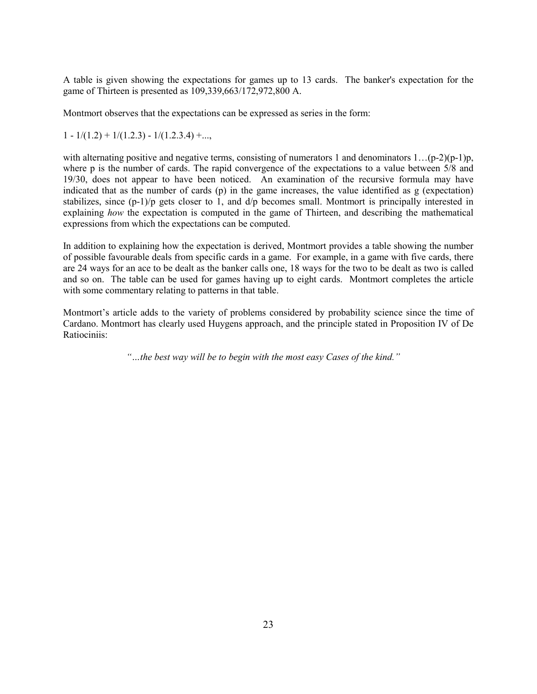A table is given showing the expectations for games up to 13 cards. The banker's expectation for the game of Thirteen is presented as 109,339,663/172,972,800 A.

Montmort observes that the expectations can be expressed as series in the form:

 $1 - 1/(1.2) + 1/(1.2.3) - 1/(1.2.3.4) + \ldots$ 

with alternating positive and negative terms, consisting of numerators 1 and denominators  $1 \dots (p-2)(p-1)p$ , where p is the number of cards. The rapid convergence of the expectations to a value between 5/8 and 19/30, does not appear to have been noticed. An examination of the recursive formula may have indicated that as the number of cards (p) in the game increases, the value identified as g (expectation) stabilizes, since (p-1)/p gets closer to 1, and d/p becomes small. Montmort is principally interested in explaining *how* the expectation is computed in the game of Thirteen, and describing the mathematical expressions from which the expectations can be computed.

In addition to explaining how the expectation is derived, Montmort provides a table showing the number of possible favourable deals from specific cards in a game. For example, in a game with five cards, there are 24 ways for an ace to be dealt as the banker calls one, 18 ways for the two to be dealt as two is called and so on. The table can be used for games having up to eight cards. Montmort completes the article with some commentary relating to patterns in that table.

Montmort's article adds to the variety of problems considered by probability science since the time of Cardano. Montmort has clearly used Huygens approach, and the principle stated in Proposition IV of De Ratiociniis:

*"…the best way will be to begin with the most easy Cases of the kind."*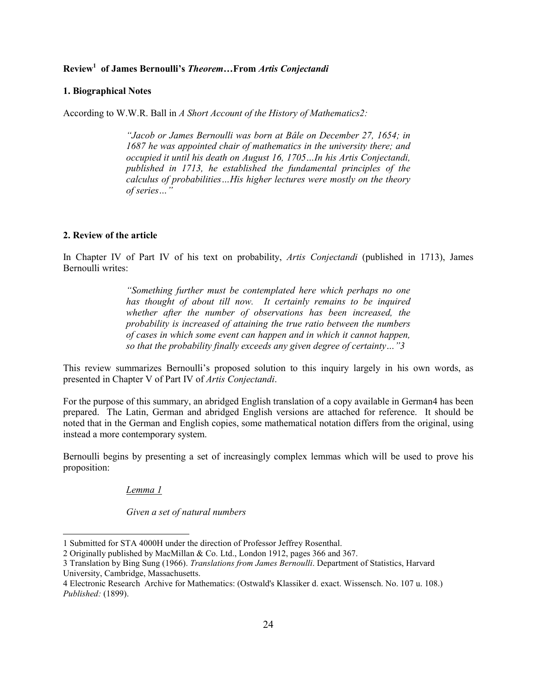# **Review1 of James Bernoulli's** *Theorem…***From** *Artis Conjectandi*

#### **1. Biographical Notes**

According to W.W.R. Ball in *A Short Account of the History of Mathematics2:*

*"Jacob or James Bernoulli was born at Bâle on December 27, 1654; in 1687 he was appointed chair of mathematics in the university there; and occupied it until his death on August 16, 1705…In his Artis Conjectandi, published in 1713, he established the fundamental principles of the calculus of probabilities…His higher lectures were mostly on the theory of series…"*

#### **2. Review of the article**

In Chapter IV of Part IV of his text on probability, *Artis Conjectandi* (published in 1713), James Bernoulli writes:

> *"Something further must be contemplated here which perhaps no one has thought of about till now. It certainly remains to be inquired whether after the number of observations has been increased, the probability is increased of attaining the true ratio between the numbers of cases in which some event can happen and in which it cannot happen, so that the probability finally exceeds any given degree of certainty…"3*

This review summarizes Bernoulli's proposed solution to this inquiry largely in his own words, as presented in Chapter V of Part IV of *Artis Conjectandi*.

For the purpose of this summary, an abridged English translation of a copy available in German4 has been prepared. The Latin, German and abridged English versions are attached for reference. It should be noted that in the German and English copies, some mathematical notation differs from the original, using instead a more contemporary system.

Bernoulli begins by presenting a set of increasingly complex lemmas which will be used to prove his proposition:

#### *Lemma 1*

 $\overline{\phantom{a}}$ 

*Given a set of natural numbers*

<sup>1</sup> Submitted for STA 4000H under the direction of Professor Jeffrey Rosenthal.

<sup>2</sup> Originally published by MacMillan & Co. Ltd., London 1912, pages 366 and 367.

<sup>3</sup> Translation by Bing Sung (1966). *Translations from James Bernoulli*. Department of Statistics, Harvard University, Cambridge, Massachusetts.

<sup>4</sup> Electronic Research Archive for Mathematics: (Ostwald's Klassiker d. exact. Wissensch. No. 107 u. 108.) *Published:* (1899).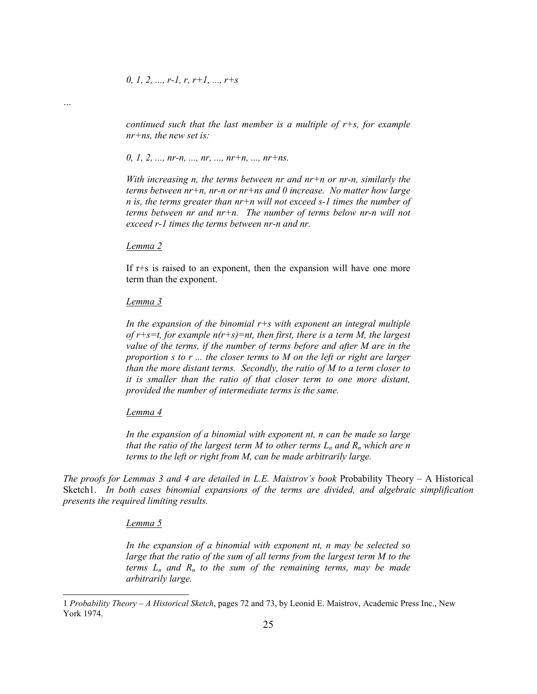*continued such that the last member is a multiple of r+s, for example nr+ns, the new set is:*

#### *0, 1, 2, ..., nr-n, ..., nr, ..., nr+n, ..., nr+ns.*

*With increasing n, the terms between nr and nr+n or nr-n, similarly the terms between nr+n, nr-n or nr+ns and 0 increase. No matter how large n is, the terms greater than nr+n will not exceed s-1 times the number of terms between nr and nr+n. The number of terms below nr-n will not exceed r-1 times the terms between nr-n and nr.*

*Lemma 2*

*…*

If r+s is raised to an exponent, then the expansion will have one more term than the exponent.

#### *Lemma 3*

*In the expansion of the binomial r+s with exponent an integral multiple of r+s=t, for example n(r+s)=nt, then first, there is a term M, the largest value of the terms, if the number of terms before and after M are in the proportion s to r ... the closer terms to M on the left or right are larger than the more distant terms. Secondly, the ratio of M to a term closer to it is smaller than the ratio of that closer term to one more distant, provided the number of intermediate terms is the same.*

#### *Lemma 4*

*In the expansion of a binomial with exponent nt, n can be made so large that the ratio of the largest term M to other terms*  $L_n$  *and*  $R_n$  *which are n terms to the left or right from M, can be made arbitrarily large.*

*The proofs for Lemmas 3 and 4 are detailed in L.E. Maistrov's book* Probability Theory – A Historical Sketch1. *In both cases binomial expansions of the terms are divided, and algebraic simplification presents the required limiting results.*

#### *Lemma 5*

 $\overline{\phantom{a}}$ 

*In the expansion of a binomial with exponent nt, n may be selected so large that the ratio of the sum of all terms from the largest term M to the terms*  $L_n$  *and*  $R_n$  *to the sum of the remaining terms, may be made arbitrarily large.*

<sup>1</sup> *Probability Theory – A Historical Sketch*, pages 72 and 73, by Leonid E. Maistrov, Academic Press Inc., New York 1974.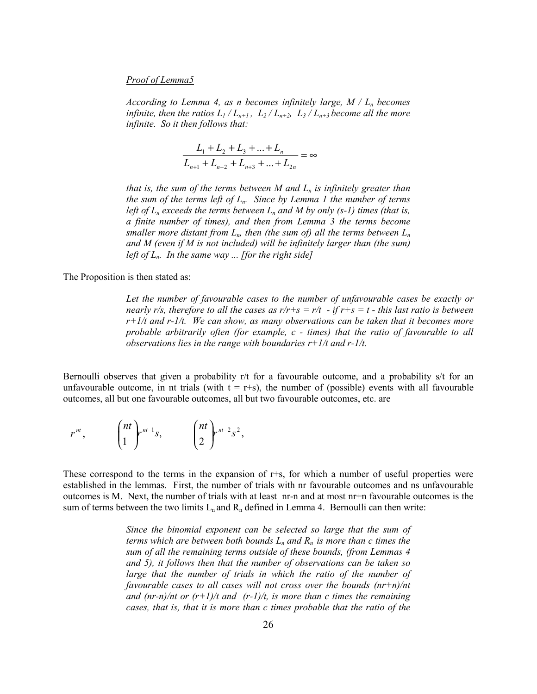#### *Proof of Lemma5*

*According to Lemma 4, as n becomes infinitely large,*  $M / L_n$  *becomes infinite, then the ratios*  $L_1/L_{n+1}$ ,  $L_2/L_{n+2}$ ,  $L_3/L_{n+3}$  become all the more *infinite. So it then follows that:*

$$
\frac{L_1 + L_2 + L_3 + \dots + L_n}{L_{n+1} + L_{n+2} + L_{n+3} + \dots + L_{2n}} = \infty
$$

*that is, the sum of the terms between M and*  $L_n$  *is infinitely greater than the sum of the terms left of Ln. Since by Lemma 1 the number of terms left of*  $L_n$  *exceeds the terms between*  $L_n$  and M by only (s-1) times (that is, *a finite number of times), and then from Lemma 3 the terms become smaller more distant from*  $L_n$ *, then (the sum of) all the terms between*  $L_n$ *and M (even if M is not included) will be infinitely larger than (the sum) left of Ln. In the same way ... [for the right side]*

The Proposition is then stated as:

*Let the number of favourable cases to the number of unfavourable cases be exactly or nearly r/s, therefore to all the cases as r/r+s = r/t - if r+s = t - this last ratio is between r+1/t and r-1/t. We can show, as many observations can be taken that it becomes more probable arbitrarily often (for example, c - times) that the ratio of favourable to all observations lies in the range with boundaries r+1/t and r-1/t.*

Bernoulli observes that given a probability r/t for a favourable outcome, and a probability s/t for an unfavourable outcome, in nt trials (with  $t = r+s$ ), the number of (possible) events with all favourable outcomes, all but one favourable outcomes, all but two favourable outcomes, etc. are

$$
r^{nt}, \qquad \binom{nt}{1} r^{nt-1} s, \qquad \binom{nt}{2} r^{nt-2} s^2,
$$

These correspond to the terms in the expansion of r+s, for which a number of useful properties were established in the lemmas. First, the number of trials with nr favourable outcomes and ns unfavourable outcomes is M. Next, the number of trials with at least nr-n and at most nr+n favourable outcomes is the sum of terms between the two limits  $L_n$  and  $R_n$  defined in Lemma 4. Bernoulli can then write:

> *Since the binomial exponent can be selected so large that the sum of terms which are between both bounds*  $L_n$  *and*  $R_n$  *is more than c times the sum of all the remaining terms outside of these bounds, (from Lemmas 4 and 5), it follows then that the number of observations can be taken so large that the number of trials in which the ratio of the number of favourable cases to all cases will not cross over the bounds (nr+n)/nt and (nr-n)/nt or (r+1)/t and (r-1)/t, is more than c times the remaining cases, that is, that it is more than c times probable that the ratio of the*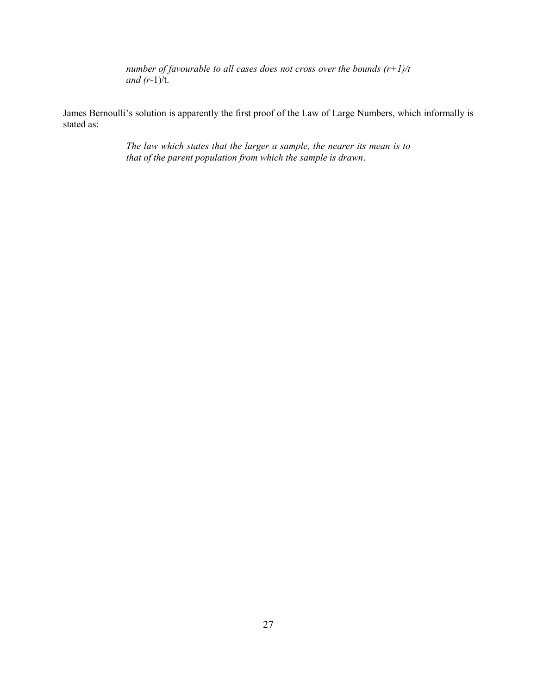*number of favourable to all cases does not cross over the bounds (r+1)/t and (r-*1)/t.

James Bernoulli's solution is apparently the first proof of the Law of Large Numbers, which informally is stated as:

> *The law which states that the larger a sample, the nearer its mean is to that of the parent population from which the sample is drawn*.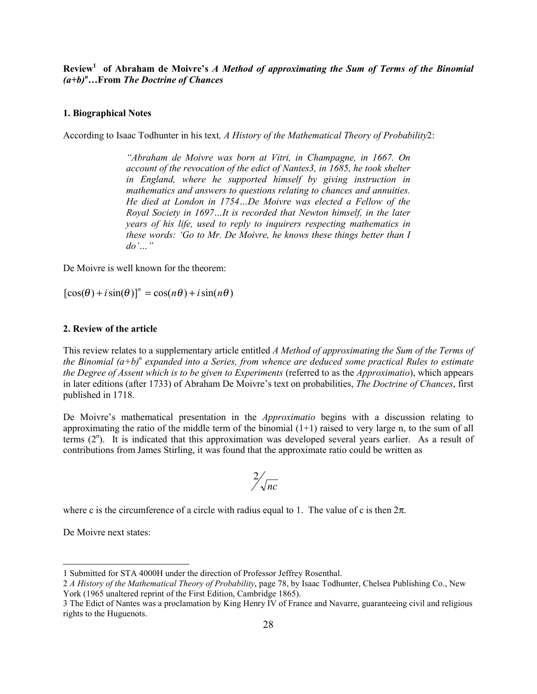**Review1 of Abraham de Moivre's** *A Method of approximating the Sum of Terms of the Binomial (a+b)<sup>n</sup> …***From** *The Doctrine of Chances*

### **1. Biographical Notes**

According to Isaac Todhunter in his text*, A History of the Mathematical Theory of Probability*2:

*"Abraham de Moivre was born at Vitri, in Champagne, in 1667. On account of the revocation of the edict of Nantes3, in 1685, he took shelter in England, where he supported himself by giving instruction in mathematics and answers to questions relating to chances and annuities. He died at London in 1754…De Moivre was elected a Fellow of the Royal Society in 1697…It is recorded that Newton himself, in the later years of his life, used to reply to inquirers respecting mathematics in these words: 'Go to Mr. De Moivre, he knows these things better than I do'…"*

De Moivre is well known for the theorem:

 $[\cos(\theta) + i\sin(\theta)]^n = \cos(n\theta) + i\sin(n\theta)$ 

#### **2. Review of the article**

This review relates to a supplementary article entitled *A Method of approximating the Sum of the Terms of* the Binomial (a+b)<sup>n</sup> expanded into a Series, from whence are deduced some practical Rules to estimate *the Degree of Assent which is to be given to Experiments* (referred to as the *Approximatio*), which appears in later editions (after 1733) of Abraham De Moivre's text on probabilities, *The Doctrine of Chances*, first published in 1718.

De Moivre's mathematical presentation in the *Approximatio* begins with a discussion relating to approximating the ratio of the middle term of the binomial  $(1+1)$  raised to very large n, to the sum of all terms  $(2<sup>n</sup>)$ . It is indicated that this approximation was developed several years earlier. As a result of contributions from James Stirling, it was found that the approximate ratio could be written as

$$
\frac{2}{\sqrt{nc}}
$$

where c is the circumference of a circle with radius equal to 1. The value of c is then  $2\pi$ .

De Moivre next states:

 $\overline{\phantom{a}}$ 

<sup>1</sup> Submitted for STA 4000H under the direction of Professor Jeffrey Rosenthal.

<sup>2</sup> *A History of the Mathematical Theory of Probability*, page 78, by Isaac Todhunter, Chelsea Publishing Co., New York (1965 unaltered reprint of the First Edition, Cambridge 1865).

<sup>3</sup> The Edict of Nantes was a proclamation by King Henry IV of France and Navarre, guaranteeing civil and religious rights to the Huguenots.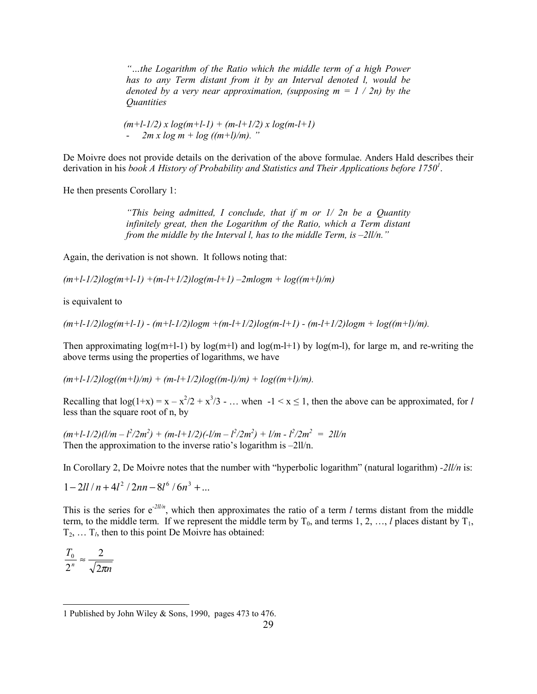*"…the Logarithm of the Ratio which the middle term of a high Power has to any Term distant from it by an Interval denoted l, would be denoted by a very near approximation, (supposing*  $m = 1 / 2n$ *) by the Quantities*

 *(m+l-1/2) x log(m+l-1) + (m-l+1/2) x log(m-l+1)*  $2m x \log m + \log ((m+1)/m)$ . "

De Moivre does not provide details on the derivation of the above formulae. Anders Hald describes their derivation in his *book A History of Probability and Statistics and Their Applications before 1750<sup>1</sup>.* 

He then presents Corollary 1:

*"This being admitted, I conclude, that if m or 1/ 2n be a Quantity infinitely great, then the Logarithm of the Ratio, which a Term distant from the middle by the Interval l, has to the middle Term, is –2ll/n."*

Again, the derivation is not shown. It follows noting that:

*(m+l-1/2)log(m+l-1) +(m-l+1/2)log(m-l+1) –2mlogm + log((m+l)/m)*

is equivalent to

*(m+l-1/2)log(m+l-1) - (m+l-1/2)logm +(m-l+1/2)log(m-l+1) - (m-l+1/2)logm + log((m+l)/m).*

Then approximating  $log(m+1-1)$  by  $log(m+1)$  and  $log(m-1+1)$  by  $log(m-1)$ , for large m, and re-writing the above terms using the properties of logarithms, we have

 $(m+l-1/2)log((m+l)/m) + (m-l+1/2)log((m-l)/m) + log((m+l)/m).$ 

Recalling that  $log(1+x) = x - x^2/2 + x^3/3 - ...$  when  $-1 < x \le 1$ , then the above can be approximated, for *l* less than the square root of n, by

 $(m+l-1/2)(l/m - l^2/2m^2) + (m-l+1/2)(-l/m - l^2/2m^2) + l/m - l^2/2m^2 = 2ll/m$ Then the approximation to the inverse ratio's logarithm is –2ll/n.

In Corollary 2, De Moivre notes that the number with "hyperbolic logarithm" (natural logarithm) *-2ll/n* is:

 $1 - 2ll/n + 4l^2/2nn - 8l^6/6n^3 + ...$ 

This is the series for  $e^{-2I/\hbar}$ , which then approximates the ratio of a term *l* terms distant from the middle term, to the middle term. If we represent the middle term by  $T_0$ , and terms 1, 2, ..., *l* places distant by  $T_1$ ,  $T_2, \ldots, T_l$ , then to this point De Moivre has obtained:

*n T n*  $\sqrt{2\pi}$ 2 2  $\frac{0}{n} \approx$ 

l

<sup>1</sup> Published by John Wiley & Sons, 1990, pages 473 to 476.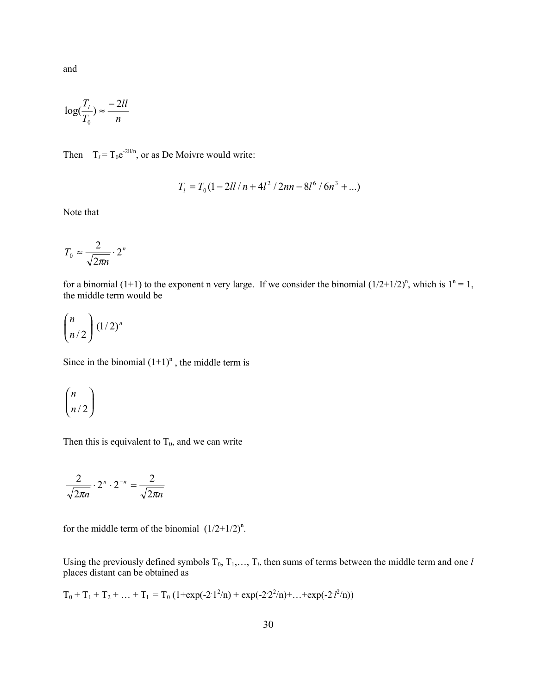and

$$
\log(\frac{T_l}{T_0}) \approx \frac{-2ll}{n}
$$

Then  $T_l = T_0 e^{-2ll/n}$ , or as De Moivre would write:

$$
T_1 = T_0 \left(1 - 2ll / n + 4l^2 / 2nn - 8l^6 / 6n^3 + \ldots\right)
$$

Note that

$$
T_0 \approx \frac{2}{\sqrt{2\pi n}} \cdot 2^n
$$

for a binomial (1+1) to the exponent n very large. If we consider the binomial  $(1/2+1/2)^n$ , which is  $1^n = 1$ , the middle term would be

$$
\binom{n}{n/2} (1/2)^n
$$

Since in the binomial  $(1+1)^n$ , the middle term is

$$
\binom{n}{n/2}
$$

Then this is equivalent to  $T_0$ , and we can write

$$
\frac{2}{\sqrt{2\pi n}} \cdot 2^n \cdot 2^{-n} = \frac{2}{\sqrt{2\pi n}}
$$

for the middle term of the binomial  $(1/2+1/2)^n$ .

Using the previously defined symbols  $T_0, T_1, \ldots, T_l$ , then sums of terms between the middle term and one *l* places distant can be obtained as

 $T_0 + T_1 + T_2 + ... + T_1 = T_0 (1 + \exp(-2 \cdot 1^2/n) + \exp(-2 \cdot 2^2/n) + ... + \exp(-2 \cdot 1^2/n))$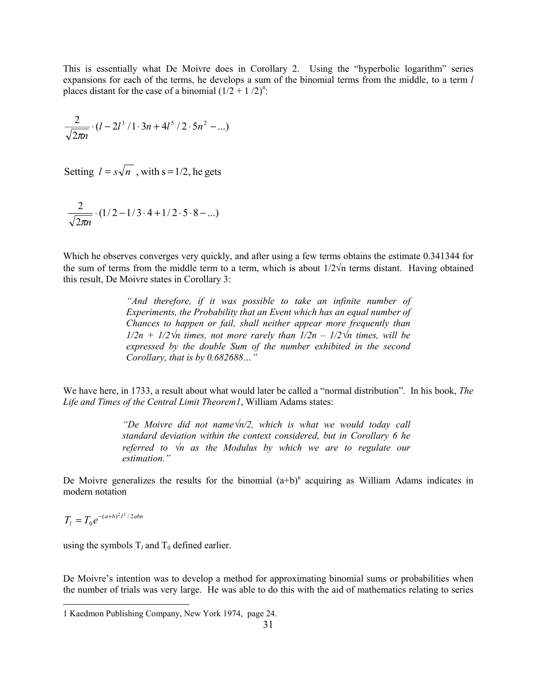This is essentially what De Moivre does in Corollary 2. Using the "hyperbolic logarithm" series expansions for each of the terms, he develops a sum of the binomial terms from the middle, to a term *l* places distant for the case of a binomial  $(1/2 + 1/2)^n$ .

$$
\frac{2}{\sqrt{2\pi n}} \cdot (l - 2l^3 / 1 \cdot 3n + 4l^5 / 2 \cdot 5n^2 - ...)
$$

Setting  $l = s\sqrt{n}$ , with s = 1/2, he gets

$$
\frac{2}{\sqrt{2\pi n}} \cdot (1/2 - 1/3 \cdot 4 + 1/2 \cdot 5 \cdot 8 - \ldots)
$$

Which he observes converges very quickly, and after using a few terms obtains the estimate 0.341344 for the sum of terms from the middle term to a term, which is about  $1/2\sqrt{n}$  terms distant. Having obtained this result, De Moivre states in Corollary 3:

> *"And therefore, if it was possible to take an infinite number of Experiments, the Probability that an Event which has an equal number of Chances to happen or fail, shall neither appear more frequently than 1/2n + 1/2*√*n times, not more rarely than 1/2n – 1/2*√*n times, will be expressed by the double Sum of the number exhibited in the second Corollary, that is by 0.682688…"*

We have here, in 1733, a result about what would later be called a "normal distribution". In his book, *The Life and Times of the Central Limit Theorem1*, William Adams states:

> *"De Moivre did not name*√*n/2, which is what we would today call standard deviation within the context considered, but in Corollary 6 he referred to* √*n as the Modulus by which we are to regulate our estimation."*

De Moivre generalizes the results for the binomial  $(a+b)^n$  acquiring as William Adams indicates in modern notation

 $T_l = T_0 e^{-(a+b)^2 l^2 / 2abn}$ 

l

using the symbols  $T_l$  and  $T_0$  defined earlier.

De Moivre's intention was to develop a method for approximating binomial sums or probabilities when the number of trials was very large. He was able to do this with the aid of mathematics relating to series

<sup>1</sup> Kaedmon Publishing Company, New York 1974, page 24.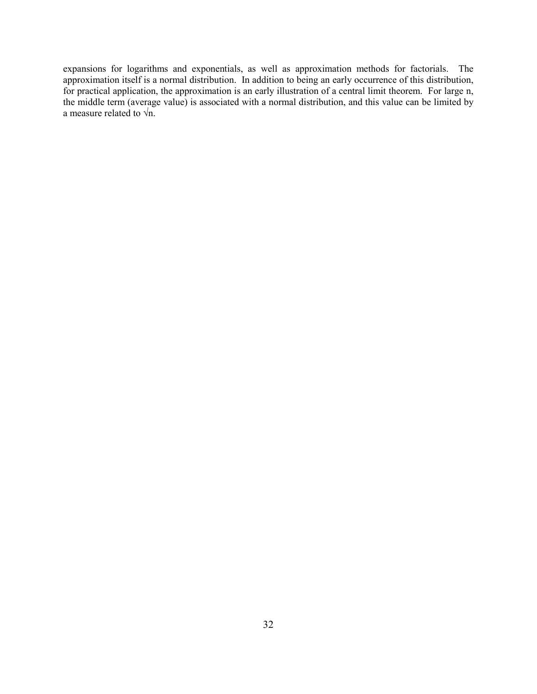expansions for logarithms and exponentials, as well as approximation methods for factorials. The approximation itself is a normal distribution. In addition to being an early occurrence of this distribution, for practical application, the approximation is an early illustration of a central limit theorem. For large n, the middle term (average value) is associated with a normal distribution, and this value can be limited by a measure related to  $\sqrt{n}$ .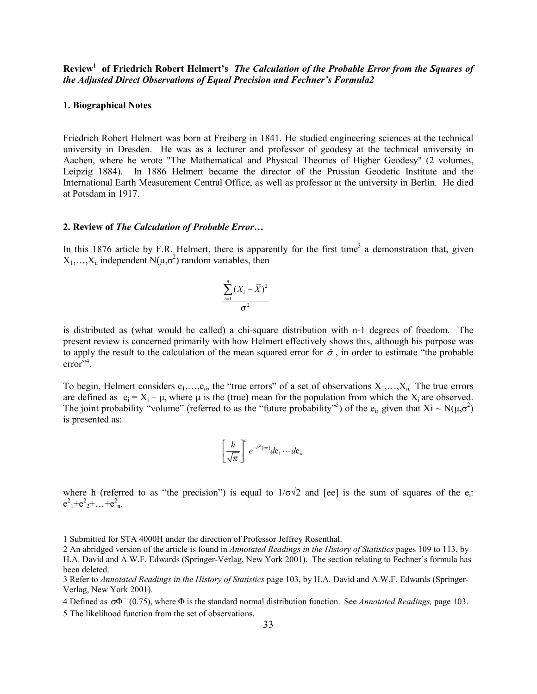**Review1 of Friedrich Robert Helmert's** *The Calculation of the Probable Error from the Squares of the Adjusted Direct Observations of Equal Precision and Fechner's Formula2*

#### **1. Biographical Notes**

 $\overline{\phantom{a}}$ 

Friedrich Robert Helmert was born at Freiberg in 1841. He studied engineering sciences at the technical university in Dresden. He was as a lecturer and professor of geodesy at the technical university in Aachen, where he wrote "The Mathematical and Physical Theories of Higher Geodesy" (2 volumes, Leipzig 1884). In 1886 Helmert became the director of the Prussian Geodetic Institute and the International Earth Measurement Central Office, as well as professor at the university in Berlin. He died at Potsdam in 1917.

#### **2. Review of** *The Calculation of Probable Error…*

In this 1876 article by F.R. Helmert, there is apparently for the first time<sup>3</sup> a demonstration that, given  $X_1, \ldots, X_n$  independent  $N(\mu, \sigma^2)$  random variables, then

$$
\frac{\sum_{i=1}^{n}(X_i-\overline{X})^2}{\sigma^2}
$$

is distributed as (what would be called) a chi-square distribution with n-1 degrees of freedom. The present review is concerned primarily with how Helmert effectively shows this, although his purpose was to apply the result to the calculation of the mean squared error for  $\sigma$ , in order to estimate "the probable" error"<sup>4</sup>.

To begin, Helmert considers  $e_1, \ldots, e_n$ , the "true errors" of a set of observations  $X_1, \ldots, X_n$ . The true errors are defined as  $e_i = X_i - \mu$ , where  $\mu$  is the (true) mean for the population from which the  $X_i$  are observed. The joint probability "volume" (referred to as the "future probability"<sup>5</sup>) of the e<sub>i</sub>, given that  $Xi \sim N(\mu,\sigma^2)$ is presented as:

$$
\left[\frac{h}{\sqrt{\pi}}\right]^n e^{-h^2[\text{ee}]}de_1\cdots de_n
$$

where h (referred to as "the precision") is equal to  $1/\sigma\sqrt{2}$  and [ee] is the sum of squares of the e.  $e^{2}$ <sub>1</sub>+ $e^{2}$ <sub>2</sub>+…+ $e^{2}$ <sub>n</sub>.

<sup>1</sup> Submitted for STA 4000H under the direction of Professor Jeffrey Rosenthal.

<sup>2</sup> An abridged version of the article is found in *Annotated Readings in the History of Statistics* pages 109 to 113, by H.A. David and A.W.F. Edwards (Springer-Verlag, New York 2001). The section relating to Fechner's formula has been deleted.

<sup>3</sup> Refer to *Annotated Readings in the History of Statistics* page 103, by H.A. David and A.W.F. Edwards (Springer-Verlag, New York 2001).

<sup>4</sup> Defined as  $\sigma \Phi^{-1}(0.75)$ , where  $\Phi$  is the standard normal distribution function. See *Annotated Readings*, page 103. 5 The likelihood function from the set of observations.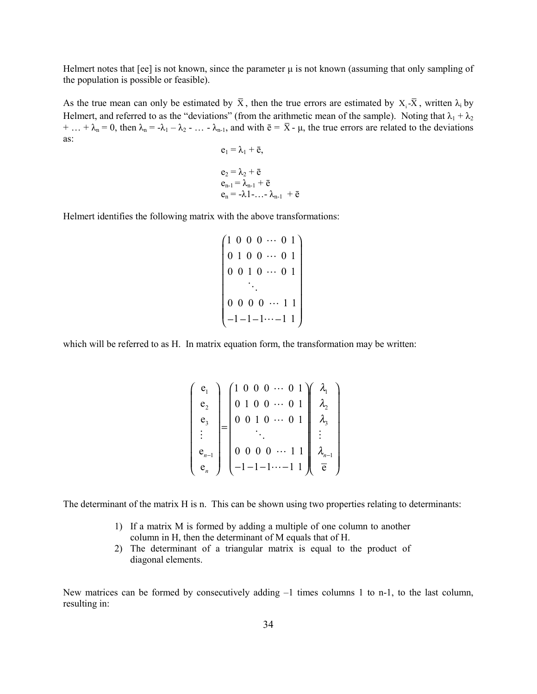Helmert notes that  $[ee]$  is not known, since the parameter  $\mu$  is not known (assuming that only sampling of the population is possible or feasible).

As the true mean can only be estimated by  $\bar{X}$ , then the true errors are estimated by  $X_i - \bar{X}$ , written  $\lambda_i$  by Helmert, and referred to as the "deviations" (from the arithmetic mean of the sample). Noting that  $\lambda_1 + \lambda_2$ + … +  $\lambda_n$  = 0, then  $\lambda_n$  = - $\lambda_1$  –  $\lambda_2$  - … -  $\lambda_{n-1}$ , and with  $\bar{e}$  =  $\bar{X}$  -  $\mu$ , the true errors are related to the deviations as:  $e_1 = \lambda_1 + \bar{a}$ 

$$
e_1 - \lambda_1 + e,
$$
  
\n
$$
e_2 = \lambda_2 + \overline{e}
$$
  
\n
$$
e_{n-1} = \lambda_{n-1} + \overline{e}
$$
  
\n
$$
e_n = -\lambda 1 - \ldots - \lambda_{n-1} + \overline{e}
$$

Helmert identifies the following matrix with the above transformations:

$$
\begin{pmatrix}\n1 & 0 & 0 & 0 & \cdots & 0 & 1 \\
0 & 1 & 0 & 0 & \cdots & 0 & 1 \\
0 & 0 & 1 & 0 & \cdots & 0 & 1 \\
& \ddots & & & & \\
0 & 0 & 0 & 0 & \cdots & 1 & 1 \\
-1 & -1 & -1 & \cdots & -1 & 1\n\end{pmatrix}
$$

which will be referred to as H. In matrix equation form, the transformation may be written:

$$
\begin{pmatrix}\n\mathbf{e}_{1} \\
\mathbf{e}_{2} \\
\mathbf{e}_{3} \\
\vdots \\
\mathbf{e}_{n-1} \\
\mathbf{e}_{n}\n\end{pmatrix}\n=\n\begin{pmatrix}\n1 & 0 & 0 & 0 & \cdots & 0 & 1 \\
0 & 1 & 0 & 0 & \cdots & 0 & 1 \\
0 & 0 & 1 & 0 & \cdots & 0 & 1 \\
\vdots & \vdots & \ddots & \vdots & \vdots & \vdots \\
0 & 0 & 0 & 0 & \cdots & 1 & 1 \\
-1 & -1 & -1 & \cdots & -1 & 1 & 1\n\end{pmatrix}\n\begin{pmatrix}\n\lambda_{1} \\
\lambda_{2} \\
\lambda_{3} \\
\vdots \\
\lambda_{n-1} \\
\hline\n\end{pmatrix}
$$

The determinant of the matrix H is n. This can be shown using two properties relating to determinants:

- 1) If a matrix M is formed by adding a multiple of one column to another column in H, then the determinant of M equals that of H.
- 2) The determinant of a triangular matrix is equal to the product of diagonal elements.

New matrices can be formed by consecutively adding –1 times columns 1 to n-1, to the last column, resulting in: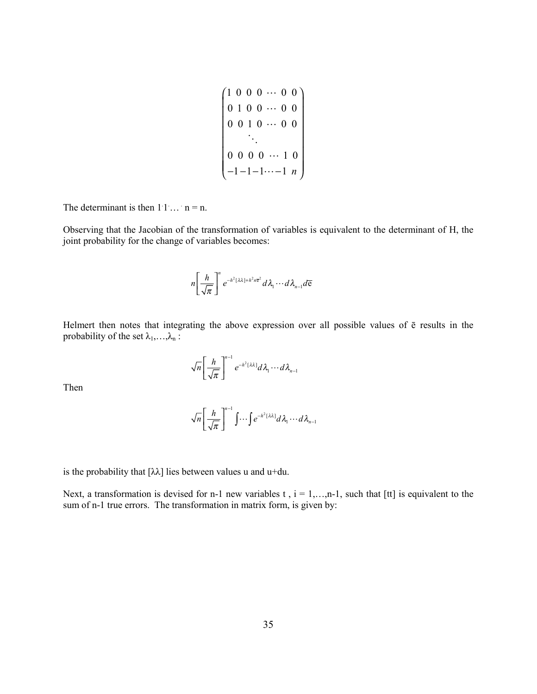$$
\begin{pmatrix}\n1 & 0 & 0 & 0 & \cdots & 0 & 0 \\
0 & 1 & 0 & 0 & \cdots & 0 & 0 \\
0 & 0 & 1 & 0 & \cdots & 0 & 0 \\
\vdots & \vdots & \vdots & \ddots & \vdots & \vdots \\
0 & 0 & 0 & 0 & \cdots & 1 & 0 \\
-1 & -1 & -1 & \cdots & -1 & n\n\end{pmatrix}
$$

The determinant is then  $11... n = n$ .

Observing that the Jacobian of the transformation of variables is equivalent to the determinant of H, the joint probability for the change of variables becomes:

$$
n\left[\frac{h}{\sqrt{\pi}}\right]^{n}e^{-h^{2}[\lambda\lambda]+h^{2}n\overline{e}^{2}}d\lambda_{1}\cdots d\lambda_{n-1}d\overline{e}
$$

Helmert then notes that integrating the above expression over all possible values of ē results in the probability of the set  $\lambda_1, \ldots, \lambda_n$ :

$$
\sqrt{n}\left[\frac{h}{\sqrt{\pi}}\right]^{n-1}e^{-h^2[\lambda\lambda]}d\lambda_1\cdots d\lambda_{n-1}
$$

Then

$$
\sqrt{n}\left[\frac{h}{\sqrt{\pi}}\right]^{n-1}\int\cdots\int e^{-h^2[\lambda\lambda]}d\lambda_1\cdots d\lambda_{n-1}
$$

is the probability that  $[\lambda \lambda]$  lies between values u and u+du.

Next, a transformation is devised for n-1 new variables t,  $i = 1,...,n-1$ , such that [tt] is equivalent to the sum of n-1 true errors. The transformation in matrix form, is given by: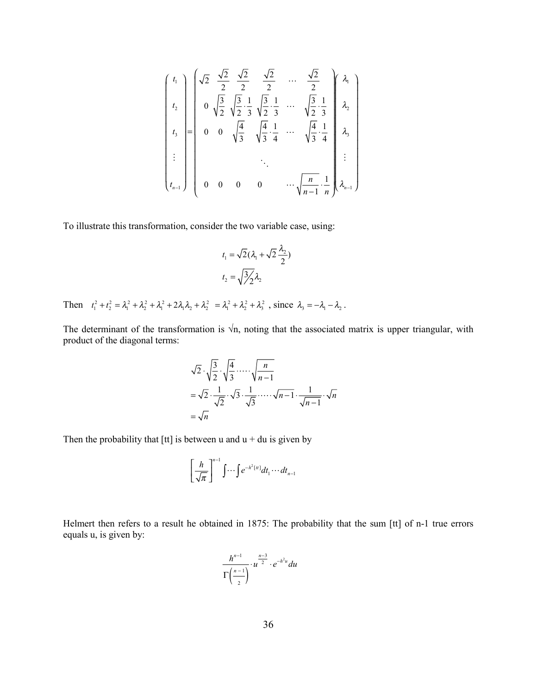$$
\begin{pmatrix}\n t_1 \\
 t_2 \\
 t_3 \\
 \vdots \\
 t_{n-1}\n\end{pmatrix}\n\begin{pmatrix}\n\sqrt{2} & \frac{\sqrt{2}}{2} & \frac{\sqrt{2}}{2} & \frac{\sqrt{2}}{2} & \cdots & \frac{\sqrt{2}}{2} \\
0 & \sqrt{\frac{3}{2}} & \sqrt{\frac{3}{2}} & \frac{1}{3} & \sqrt{\frac{3}{2}} & \frac{1}{3} & \cdots & \sqrt{\frac{3}{2}} & \frac{1}{3} \\
0 & 0 & \sqrt{\frac{4}{3}} & \sqrt{\frac{4}{3}} & \frac{1}{4} & \cdots & \sqrt{\frac{4}{3}} & \frac{1}{4} \\
\vdots & \vdots & \ddots & \vdots & \ddots & \vdots \\
0 & 0 & 0 & 0 & \cdots & \sqrt{\frac{n}{n-1}} & \frac{1}{n}\n\end{pmatrix}\n\begin{pmatrix}\n\lambda_1 \\
\lambda_2 \\
\lambda_3 \\
\vdots \\
\lambda_{n-1}\n\end{pmatrix}
$$

To illustrate this transformation, consider the two variable case, using:

$$
t_1 = \sqrt{2}(\lambda_1 + \sqrt{2}\frac{\lambda_2}{2})
$$

$$
t_2 = \sqrt{\frac{3}{2}}\lambda_2
$$

Then  $t_1^2 + t_2^2 = \lambda_1^2 + \lambda_2^2 + \lambda_1^2 + 2\lambda_1\lambda_2 + \lambda_2^2 = \lambda_1^2 + \lambda_2^2 + \lambda_3^2$ , since  $\lambda_3 = -\lambda_1 - \lambda_2$ .

The determinant of the transformation is  $\forall n$ , noting that the associated matrix is upper triangular, with product of the diagonal terms:

$$
\sqrt{2} \cdot \sqrt{\frac{3}{2}} \cdot \sqrt{\frac{4}{3}} \cdots \sqrt{\frac{n}{n-1}}
$$
  
=  $\sqrt{2} \cdot \frac{1}{\sqrt{2}} \cdot \sqrt{3} \cdot \frac{1}{\sqrt{3}} \cdots \sqrt{n-1} \cdot \frac{1}{\sqrt{n-1}} \cdot \sqrt{n}$   
=  $\sqrt{n}$ 

Then the probability that [tt] is between u and  $u + du$  is given by

$$
\left[\frac{h}{\sqrt{\pi}}\right]^{n-1}\int\cdots\int e^{-h^2\left[u\right]}dt_1\cdots dt_{n-1}
$$

Helmert then refers to a result he obtained in 1875: The probability that the sum [tt] of n-1 true errors equals u, is given by:

$$
\frac{h^{n-1}}{\Gamma\left(\frac{n-1}{2}\right)}\cdot u^{\frac{n-3}{2}}\cdot e^{-h^2u}du
$$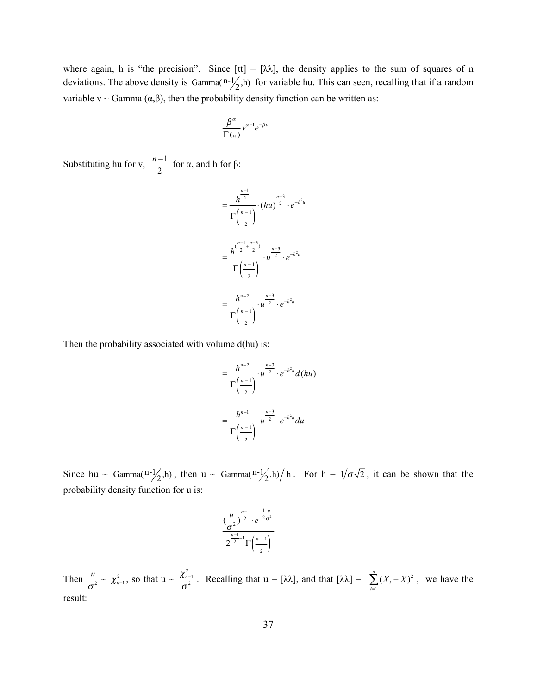where again, h is "the precision". Since  $[t] = [\lambda \lambda]$ , the density applies to the sum of squares of n deviations. The above density is Gamma $\binom{n-1}{2}$ , h) for variable hu. This can seen, recalling that if a random variable v ~ Gamma  $(\alpha, \beta)$ , then the probability density function can be written as:

$$
\frac{\beta^{\alpha}}{\Gamma(\alpha)}v^{\alpha-1}e^{-\beta v}
$$

Substituting hu for v,  $\frac{n-1}{2}$  for  $\alpha$ , and h for  $\beta$ :

$$
= \frac{h^{\frac{n-1}{2}}}{\Gamma(\frac{n-1}{2})} \cdot (hu)^{\frac{n-3}{2}} \cdot e^{-h^2 u}
$$

$$
= \frac{h^{(\frac{n-1}{2} + \frac{n-3}{2})}}{\Gamma(\frac{n-1}{2})} \cdot u^{\frac{n-3}{2}} \cdot e^{-h^2 u}
$$

$$
= \frac{h^{n-2}}{\Gamma(\frac{n-1}{2})} \cdot u^{\frac{n-3}{2}} \cdot e^{-h^2 u}
$$

Then the probability associated with volume d(hu) is:

$$
= \frac{h^{n-2}}{\Gamma(\frac{n-1}{2})} \cdot u^{\frac{n-3}{2}} \cdot e^{-h^2 u} d(hu)
$$

$$
= \frac{h^{n-1}}{\Gamma(\frac{n-1}{2})} \cdot u^{\frac{n-3}{2}} \cdot e^{-h^2 u} du
$$

Since hu ~ Gamma $\left(\frac{n-1}{2},h\right)$ , then u ~ Gamma $\left(\frac{n-1}{2},h\right)/h$ . For  $h = 1/\sigma\sqrt{2}$ , it can be shown that the probability density function for u is:

$$
\frac{\left(\frac{u}{\sigma^2}\right)^{\frac{n-1}{2}} \cdot e^{-\frac{1}{2}\frac{u}{\sigma^2}}}{2^{\frac{n-1}{2}-1} \Gamma\left(\frac{n-1}{2}\right)}
$$

Then  $\frac{u}{\sigma^2} \sim \chi^2_{n-1}$ , so that  $u \sim \frac{\chi^2_{n-1}}{\sigma^2}$  $\frac{\lambda n-1}{\sigma^2}$ . Recalling that  $u = [\lambda \lambda]$ , and that  $[\lambda \lambda] = \sum_{i=1}^{\infty} (X_i - \overline{X})^2$ 1  $\sum_{i=1}^{n} (X_i - \overline{X})$  $\sum_{i=1}^{I}$ <sup> $\sum_{i=1}^{I}$ </sup>  $X_i - X$  $\sum_{i=1}^{\infty} (X_i - \overline{X})^2$ , we have the result: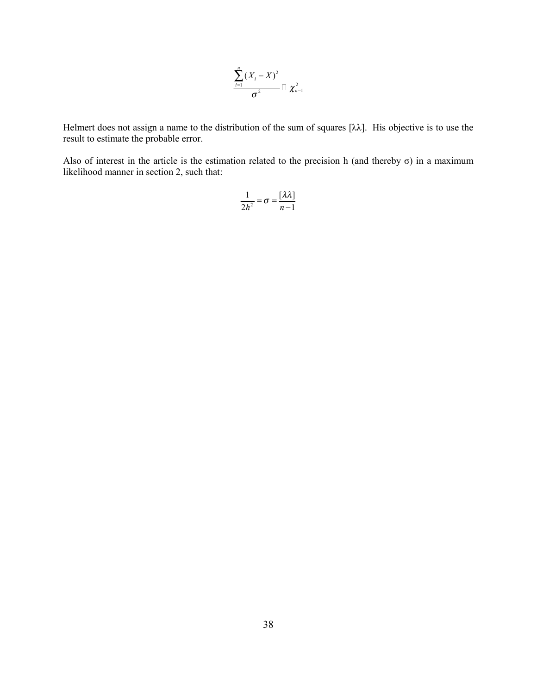$$
\frac{\sum_{i=1}^{n} (X_i - \overline{X})^2}{\sigma^2} \square \chi^2_{n-1}
$$

Helmert does not assign a name to the distribution of the sum of squares [λλ]. His objective is to use the result to estimate the probable error.

Also of interest in the article is the estimation related to the precision h (and thereby  $\sigma$ ) in a maximum likelihood manner in section 2, such that:

$$
\frac{1}{2h^2} = \sigma = \frac{[\lambda \lambda]}{n-1}
$$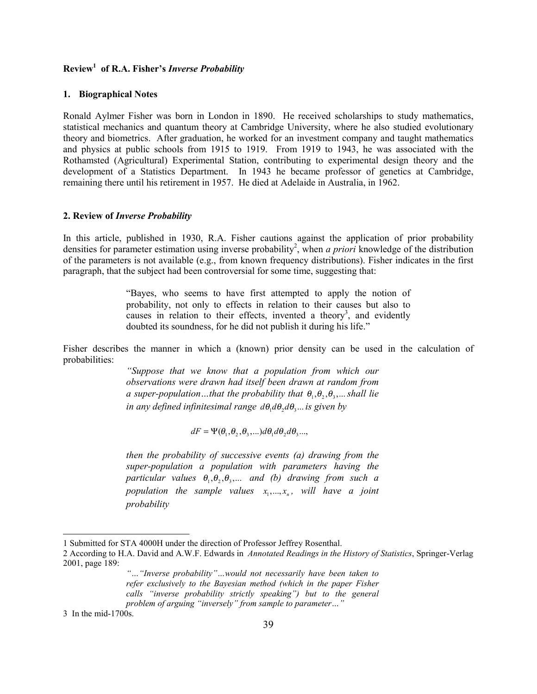# **Review1 of R.A. Fisher's** *Inverse Probability*

#### **1. Biographical Notes**

Ronald Aylmer Fisher was born in London in 1890. He received scholarships to study mathematics, statistical mechanics and quantum theory at Cambridge University, where he also studied evolutionary theory and biometrics. After graduation, he worked for an investment company and taught mathematics and physics at public schools from 1915 to 1919. From 1919 to 1943, he was associated with the Rothamsted (Agricultural) Experimental Station, contributing to experimental design theory and the development of a Statistics Department. In 1943 he became professor of genetics at Cambridge, remaining there until his retirement in 1957. He died at Adelaide in Australia, in 1962.

### **2. Review of** *Inverse Probability*

In this article, published in 1930, R.A. Fisher cautions against the application of prior probability densities for parameter estimation using inverse probability<sup>2</sup>, when *a priori* knowledge of the distribution of the parameters is not available (e.g., from known frequency distributions). Fisher indicates in the first paragraph, that the subject had been controversial for some time, suggesting that:

> "Bayes, who seems to have first attempted to apply the notion of probability, not only to effects in relation to their causes but also to causes in relation to their effects, invented a theory<sup>3</sup>, and evidently doubted its soundness, for he did not publish it during his life."

Fisher describes the manner in which a (known) prior density can be used in the calculation of probabilities:

> *"Suppose that we know that a population from which our observations were drawn had itself been drawn at random from a super-population*...that the probability that  $\theta_1, \theta_2, \theta_3, \dots$  shall lie *in any defined infinitesimal range*  $d\theta_1 d\theta_2 d\theta_3 ...$  *is given by*

> > $dF = \Psi(\theta_1, \theta_2, \theta_3, \ldots) d\theta_1 d\theta_2 d\theta_3 \ldots$

*then the probability of successive events (a) drawing from the super-population a population with parameters having the particular values*  $\theta_1, \theta_2, \theta_3, \dots$  *and (b) drawing from such a population the sample values*  $x_1, \ldots, x_n$ , will have a joint *probability*

 $\overline{\phantom{a}}$ 

<sup>1</sup> Submitted for STA 4000H under the direction of Professor Jeffrey Rosenthal.

<sup>2</sup> According to H.A. David and A.W.F. Edwards in *Annotated Readings in the History of Statistics*, Springer-Verlag 2001, page 189:

*<sup>&</sup>quot;…"Inverse probability"…would not necessarily have been taken to refer exclusively to the Bayesian method (which in the paper Fisher calls "inverse probability strictly speaking") but to the general problem of arguing "inversely" from sample to parameter…"*

<sup>3</sup> In the mid-1700s.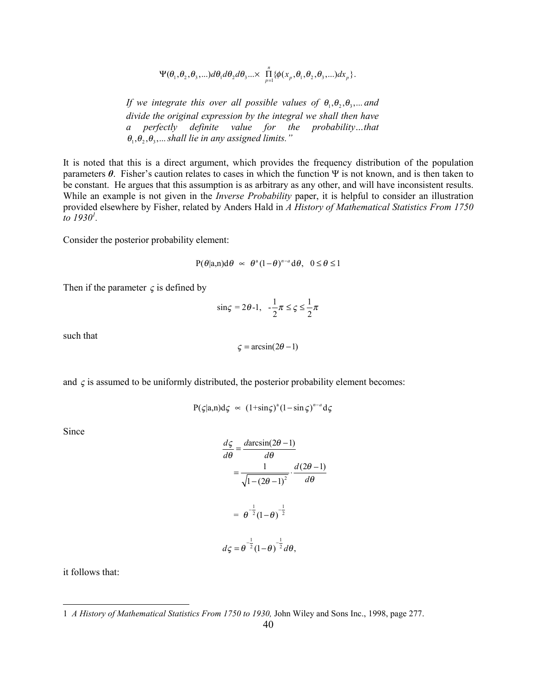$$
\Psi(\theta_1,\theta_2,\theta_3,...)\,d\theta_1 d\theta_2 d\theta_3...\times\prod_{p=1}^n\{\phi(x_p,\theta_1,\theta_2,\theta_3,...)\,dx_p\}.
$$

*If we integrate this over all possible values of*  $\theta_1, \theta_2, \theta_3, \dots$  *and divide the original expression by the integral we shall then have a perfectly definite value for the probability…that*  $\theta_1, \theta_2, \theta_3, \dots$  shall lie in any assigned limits."

It is noted that this is a direct argument, which provides the frequency distribution of the population parameters *θ*. Fisher's caution relates to cases in which the function Ψ is not known, and is then taken to be constant. He argues that this assumption is as arbitrary as any other, and will have inconsistent results. While an example is not given in the *Inverse Probability* paper, it is helpful to consider an illustration provided elsewhere by Fisher, related by Anders Hald in *A History of Mathematical Statistics From 1750 to 19301 .*

Consider the posterior probability element:

$$
P(\theta|a,n)d\theta \approx \theta^a(1-\theta)^{n-a}d\theta, \quad 0 \le \theta \le 1
$$

Then if the parameter  $\varsigma$  is defined by

$$
\sin \varsigma = 2\theta - 1, \quad -\frac{1}{2}\pi \le \varsigma \le \frac{1}{2}\pi
$$

such that

$$
\varsigma = \arcsin(2\theta - 1)
$$

and  $\varsigma$  is assumed to be uniformly distributed, the posterior probability element becomes:

$$
P(\zeta|a,n)d\zeta \; \propto \; (1+\sin\zeta)^{a}(1-\sin\zeta)^{n-a}d\zeta
$$

Since

$$
\frac{d\zeta}{d\theta} = \frac{d\arcsin(2\theta - 1)}{d\theta}
$$

$$
= \frac{1}{\sqrt{1 - (2\theta - 1)^2}} \cdot \frac{d(2\theta - 1)}{d\theta}
$$

$$
= \theta^{-\frac{1}{2}} (1 - \theta)^{-\frac{1}{2}}
$$

$$
d\zeta = \theta^{-\frac{1}{2}} (1 - \theta)^{-\frac{1}{2}} d\theta,
$$

it follows that:

l

<sup>1</sup> *A History of Mathematical Statistics From 1750 to 1930,* John Wiley and Sons Inc., 1998, page 277.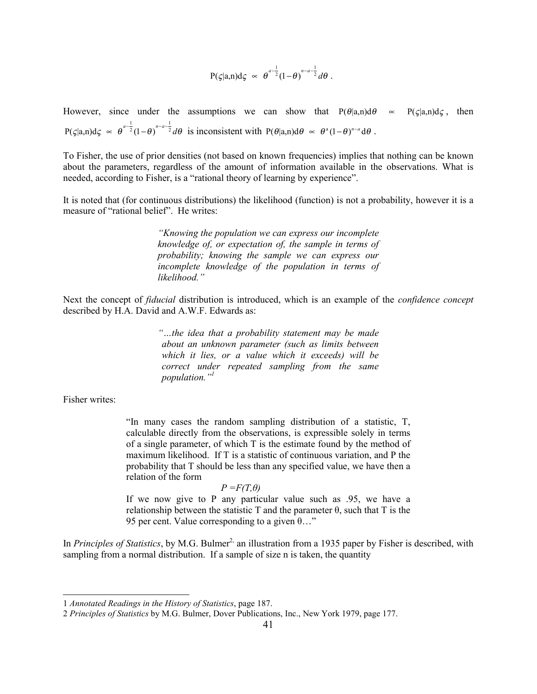$$
P(\zeta|a,n)d\zeta \sim \theta^{a-\frac{1}{2}}(1-\theta)^{n-a-\frac{1}{2}}d\theta.
$$

However, since under the assumptions we can show that  $P(\theta | a,n)d\theta \approx P(\zeta | a,n)d\zeta$ , then  $P(\zeta|a,n)d\zeta \propto \theta^{a-\frac{1}{2}}(1-\theta)^{n-a-\frac{1}{2}}d\theta$  is inconsistent with  $P(\theta|a,n)d\theta \propto \theta^{a}(1-\theta)^{n-a}d\theta$ .

To Fisher, the use of prior densities (not based on known frequencies) implies that nothing can be known about the parameters, regardless of the amount of information available in the observations. What is needed, according to Fisher, is a "rational theory of learning by experience".

It is noted that (for continuous distributions) the likelihood (function) is not a probability, however it is a measure of "rational belief". He writes:

> *"Knowing the population we can express our incomplete knowledge of, or expectation of, the sample in terms of probability; knowing the sample we can express our incomplete knowledge of the population in terms of likelihood."*

Next the concept of *fiducial* distribution is introduced, which is an example of the *confidence concept* described by H.A. David and A.W.F. Edwards as:

> *"…the idea that a probability statement may be made about an unknown parameter (such as limits between which it lies, or a value which it exceeds) will be correct under repeated sampling from the same population."1*

Fisher writes:

 $\overline{\phantom{a}}$ 

"In many cases the random sampling distribution of a statistic, T, calculable directly from the observations, is expressible solely in terms of a single parameter, of which T is the estimate found by the method of maximum likelihood. If T is a statistic of continuous variation, and P the probability that T should be less than any specified value, we have then a relation of the form

 $P = F(T, \theta)$ 

If we now give to P any particular value such as .95, we have a relationship between the statistic T and the parameter θ, such that T is the 95 per cent. Value corresponding to a given  $\theta$ ..."

In *Principles of Statistics*, by M.G. Bulmer<sup>2,</sup> an illustration from a 1935 paper by Fisher is described, with sampling from a normal distribution. If a sample of size n is taken, the quantity

<sup>1</sup> *Annotated Readings in the History of Statistics*, page 187.

<sup>2</sup> *Principles of Statistics* by M.G. Bulmer, Dover Publications, Inc., New York 1979, page 177.